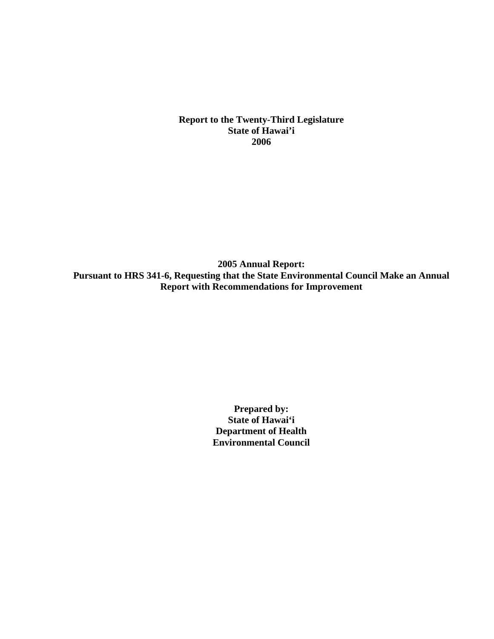**Report to the Twenty-Third Legislature State of Hawai'i 2006** 

**2005 Annual Report: Pursuant to HRS 341-6, Requesting that the State Environmental Council Make an Annual Report with Recommendations for Improvement** 

> **Prepared by: State of Hawai'i Department of Health Environmental Council**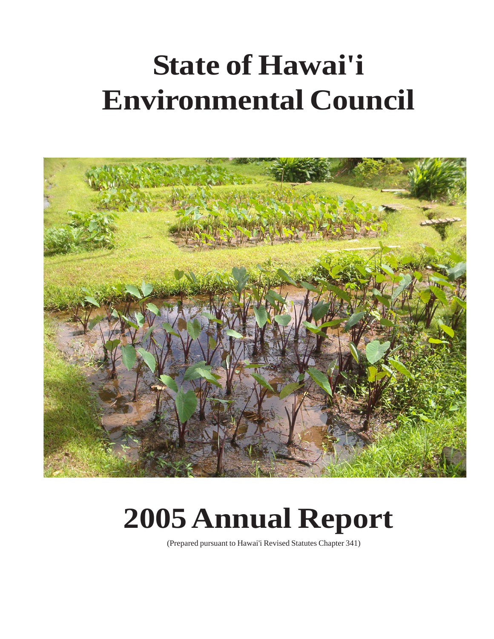# **State of Hawai'i Environmental Council**



# **2005 Annual Report**

(Prepared pursuant to Hawai'i Revised Statutes Chapter 341)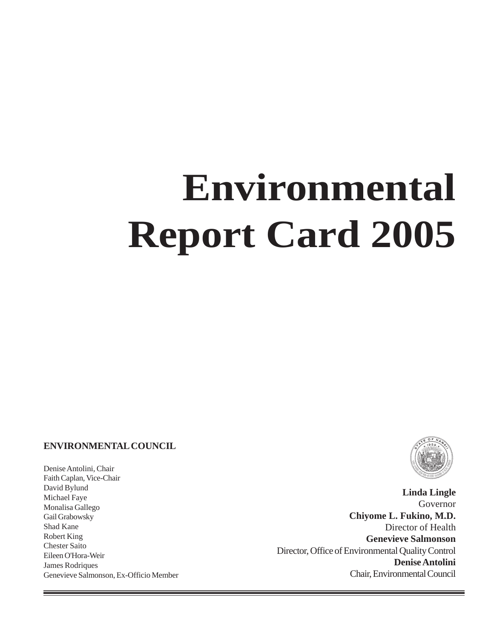# **Environmental Report Card 2005**

#### **ENVIRONMENTAL COUNCIL**

Denise Antolini, Chair Faith Caplan, Vice-Chair David Bylund Michael Faye Monalisa Gallego Gail Grabowsky Shad Kane Robert King Chester Saito Eileen O'Hora-Weir James Rodriques Genevieve Salmonson, Ex-Officio Member



÷

**Linda Lingle** Governor **Chiyome L. Fukino, M.D.** Director of Health **Genevieve Salmonson** Director, Office of Environmental Quality Control **Denise Antolini** Chair, Environmental Council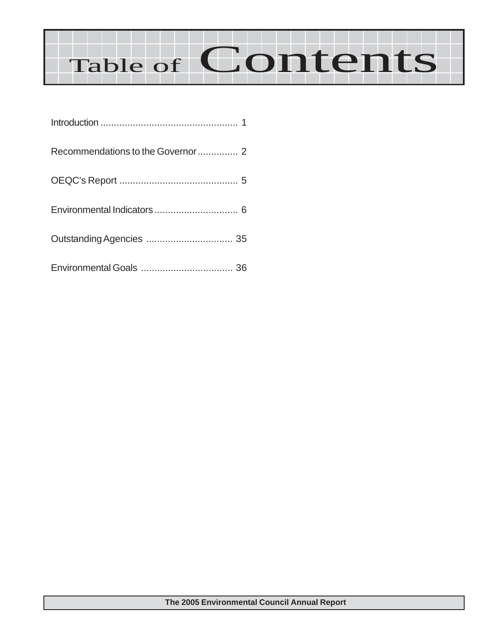# Table of Contents

| Recommendations to the Governor 2 |  |
|-----------------------------------|--|
|                                   |  |
|                                   |  |
|                                   |  |
|                                   |  |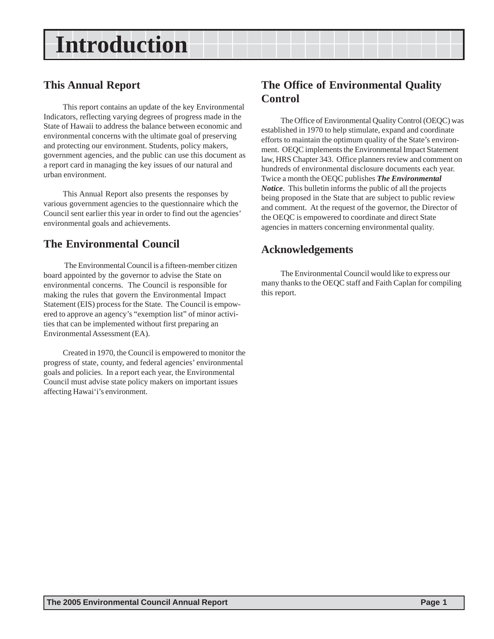### **Introduction**

### **This Annual Report**

This report contains an update of the key Environmental Indicators, reflecting varying degrees of progress made in the State of Hawaii to address the balance between economic and environmental concerns with the ultimate goal of preserving and protecting our environment. Students, policy makers, government agencies, and the public can use this document as a report card in managing the key issues of our natural and urban environment.

This Annual Report also presents the responses by various government agencies to the questionnaire which the Council sent earlier this year in order to find out the agencies' environmental goals and achievements.

### **The Environmental Council**

 The Environmental Council is a fifteen-member citizen board appointed by the governor to advise the State on environmental concerns. The Council is responsible for making the rules that govern the Environmental Impact Statement (EIS) process for the State. The Council is empowered to approve an agency's "exemption list" of minor activities that can be implemented without first preparing an Environmental Assessment (EA).

Created in 1970, the Council is empowered to monitor the progress of state, county, and federal agencies' environmental goals and policies. In a report each year, the Environmental Council must advise state policy makers on important issues affecting Hawai'i's environment.

### **The Office of Environmental Quality Control**

The Office of Environmental Quality Control (OEQC) was established in 1970 to help stimulate, expand and coordinate efforts to maintain the optimum quality of the State's environment. OEQC implements the Environmental Impact Statement law, HRS Chapter 343. Office planners review and comment on hundreds of environmental disclosure documents each year. Twice a month the OEQC publishes *The Environmental Notice*. This bulletin informs the public of all the projects being proposed in the State that are subject to public review and comment. At the request of the governor, the Director of the OEQC is empowered to coordinate and direct State agencies in matters concerning environmental quality.

### **Acknowledgements**

The Environmental Council would like to express our many thanks to the OEQC staff and Faith Caplan for compiling this report.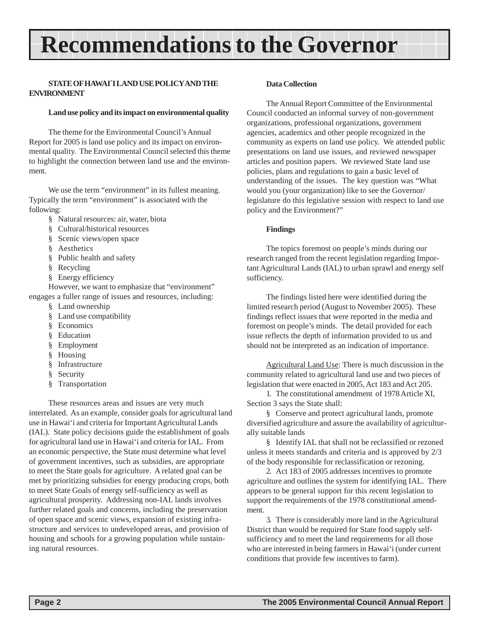# **Recommendations to the Governor**

#### **STATE OF HAWAI`I LAND USE POLICY AND THE ENVIRONMENT**

#### **Land use policy and its impact on environmental quality**

The theme for the Environmental Council's Annual Report for 2005 is land use policy and its impact on environmental quality. The Environmental Council selected this theme to highlight the connection between land use and the environment.

We use the term "environment" in its fullest meaning. Typically the term "environment" is associated with the following:

- § Natural resources: air, water, biota
- § Cultural/historical resources
- § Scenic views/open space
- § Aesthetics
- § Public health and safety
- § Recycling
- § Energy efficiency

However, we want to emphasize that "environment" engages a fuller range of issues and resources, including:

- § Land ownership
- § Land use compatibility
- § Economics
- § Education
- § Employment
- § Housing
- § Infrastructure
- § Security
- § Transportation

These resources areas and issues are very much interrelated. As an example, consider goals for agricultural land use in Hawai'i and criteria for Important Agricultural Lands (IAL). State policy decisions guide the establishment of goals for agricultural land use in Hawai'i and criteria for IAL. From an economic perspective, the State must determine what level of government incentives, such as subsidies, are appropriate to meet the State goals for agriculture. A related goal can be met by prioritizing subsidies for energy producing crops, both to meet State Goals of energy self-sufficiency as well as agricultural prosperity. Addressing non-IAL lands involves further related goals and concerns, including the preservation of open space and scenic views, expansion of existing infrastructure and services to undeveloped areas, and provision of housing and schools for a growing population while sustaining natural resources.

#### **Data Collection**

The Annual Report Committee of the Environmental Council conducted an informal survey of non-government organizations, professional organizations, government agencies, academics and other people recognized in the community as experts on land use policy. We attended public presentations on land use issues, and reviewed newspaper articles and position papers. We reviewed State land use policies, plans and regulations to gain a basic level of understanding of the issues. The key question was "What would you (your organization) like to see the Governor/ legislature do this legislative session with respect to land use policy and the Environment?"

#### **Findings**

The topics foremost on people's minds during our research ranged from the recent legislation regarding Important Agricultural Lands (IAL) to urban sprawl and energy self sufficiency.

The findings listed here were identified during the limited research period (August to November 2005). These findings reflect issues that were reported in the media and foremost on people's minds. The detail provided for each issue reflects the depth of information provided to us and should not be interpreted as an indication of importance.

Agricultural Land Use: There is much discussion in the community related to agricultural land use and two pieces of legislation that were enacted in 2005, Act 183 and Act 205.

1. The constitutional amendment of 1978 Article XI, Section 3 says the State shall:

§ Conserve and protect agricultural lands, promote diversified agriculture and assure the availability of agriculturally suitable lands

§ Identify IAL that shall not be reclassified or rezoned unless it meets standards and criteria and is approved by 2/3 of the body responsible for reclassification or rezoning.

2. Act 183 of 2005 addresses incentives to promote agriculture and outlines the system for identifying IAL. There appears to be general support for this recent legislation to support the requirements of the 1978 constitutional amendment.

3. There is considerably more land in the Agricultural District than would be required for State food supply selfsufficiency and to meet the land requirements for all those who are interested in being farmers in Hawai'i (under current conditions that provide few incentives to farm).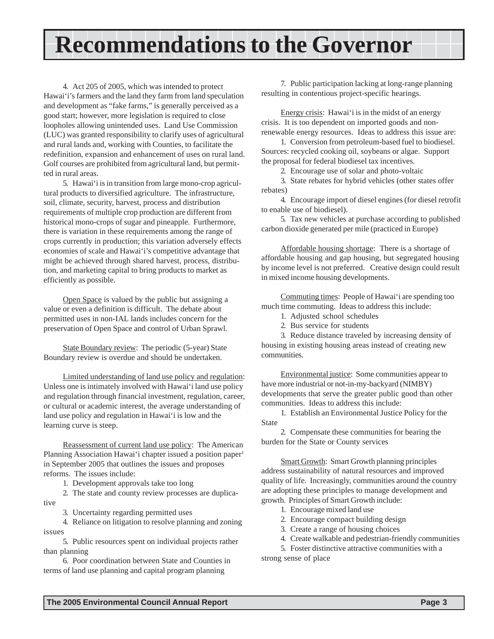### **Recommendations to the Governor**

4. Act 205 of 2005, which was intended to protect Hawai'i's farmers and the land they farm from land speculation and development as "fake farms," is generally perceived as a good start; however, more legislation is required to close loopholes allowing unintended uses. Land Use Commission (LUC) was granted responsibility to clarify uses of agricultural and rural lands and, working with Counties, to facilitate the redefinition, expansion and enhancement of uses on rural land. Golf courses are prohibited from agricultural land, but permitted in rural areas.

5. Hawai'i is in transition from large mono-crop agricultural products to diversified agriculture. The infrastructure, soil, climate, security, harvest, process and distribution requirements of multiple crop production are different from historical mono-crops of sugar and pineapple. Furthermore, there is variation in these requirements among the range of crops currently in production; this variation adversely effects economies of scale and Hawai'i's competitive advantage that might be achieved through shared harvest, process, distribution, and marketing capital to bring products to market as efficiently as possible.

Open Space is valued by the public but assigning a value or even a definition is difficult. The debate about permitted uses in non-IAL lands includes concern for the preservation of Open Space and control of Urban Sprawl.

State Boundary review: The periodic (5-year) State Boundary review is overdue and should be undertaken.

Limited understanding of land use policy and regulation: Unless one is intimately involved with Hawai'i land use policy and regulation through financial investment, regulation, career, or cultural or academic interest, the average understanding of land use policy and regulation in Hawai'i is low and the learning curve is steep.

Reassessment of current land use policy: The American Planning Association Hawai'i chapter issued a position paper<sup>1</sup> in September 2005 that outlines the issues and proposes reforms. The issues include:

1. Development approvals take too long

2. The state and county review processes are duplicative

3. Uncertainty regarding permitted uses

4. Reliance on litigation to resolve planning and zoning issues

5. Public resources spent on individual projects rather than planning

6. Poor coordination between State and Counties in terms of land use planning and capital program planning

7. Public participation lacking at long-range planning resulting in contentious project-specific hearings.

Energy crisis: Hawai'i is in the midst of an energy crisis. It is too dependent on imported goods and nonrenewable energy resources. Ideas to address this issue are:

1. Conversion from petroleum-based fuel to biodiesel. Sources: recycled cooking oil, soybeans or algae. Support the proposal for federal biodiesel tax incentives.

2. Encourage use of solar and photo-voltaic

3. State rebates for hybrid vehicles (other states offer rebates)

4. Encourage import of diesel engines (for diesel retrofit to enable use of biodiesel).

5. Tax new vehicles at purchase according to published carbon dioxide generated per mile (practiced in Europe)

Affordable housing shortage: There is a shortage of affordable housing and gap housing, but segregated housing by income level is not preferred. Creative design could result in mixed income housing developments.

Commuting times: People of Hawai'i are spending too much time commuting. Ideas to address this include:

1. Adjusted school schedules

2. Bus service for students

3. Reduce distance traveled by increasing density of housing in existing housing areas instead of creating new communities.

Environmental justice: Some communities appear to have more industrial or not-in-my-backyard (NIMBY) developments that serve the greater public good than other communities. Ideas to address this include:

1. Establish an Environmental Justice Policy for the State

2. Compensate these communities for bearing the burden for the State or County services

Smart Growth: Smart Growth planning principles address sustainability of natural resources and improved quality of life. Increasingly, communities around the country are adopting these principles to manage development and growth. Principles of Smart Growth include:

- 1. Encourage mixed land use
- 2. Encourage compact building design
- 3. Create a range of housing choices
- 4. Create walkable and pedestrian-friendly communities

5. Foster distinctive attractive communities with a

strong sense of place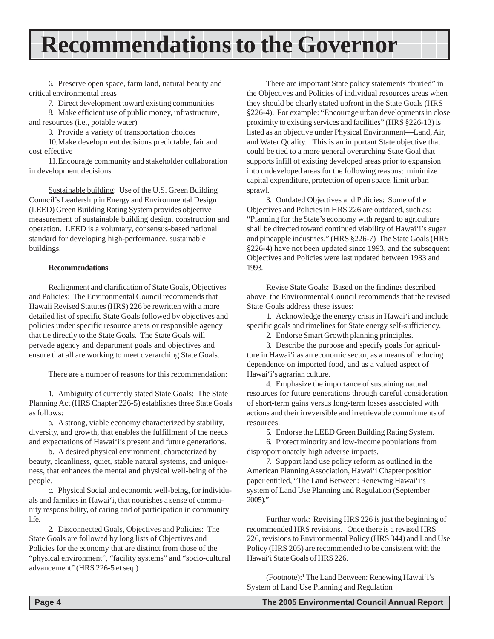### **Recommendations to the Governor**

6. Preserve open space, farm land, natural beauty and critical environmental areas

7. Direct development toward existing communities

8. Make efficient use of public money, infrastructure, and resources (i.e., potable water)

9. Provide a variety of transportation choices

10.Make development decisions predictable, fair and cost effective

11.Encourage community and stakeholder collaboration in development decisions

Sustainable building: Use of the U.S. Green Building Council's Leadership in Energy and Environmental Design (LEED) Green Building Rating System provides objective measurement of sustainable building design, construction and operation. LEED is a voluntary, consensus-based national standard for developing high-performance, sustainable buildings.

#### **Recommendations**

Realignment and clarification of State Goals, Objectives and Policies: The Environmental Council recommends that Hawaii Revised Statutes (HRS) 226 be rewritten with a more detailed list of specific State Goals followed by objectives and policies under specific resource areas or responsible agency that tie directly to the State Goals. The State Goals will pervade agency and department goals and objectives and ensure that all are working to meet overarching State Goals.

There are a number of reasons for this recommendation:

1. Ambiguity of currently stated State Goals: The State Planning Act (HRS Chapter 226-5) establishes three State Goals as follows:

a. A strong, viable economy characterized by stability, diversity, and growth, that enables the fulfillment of the needs and expectations of Hawai'i's present and future generations.

b. A desired physical environment, characterized by beauty, cleanliness, quiet, stable natural systems, and uniqueness, that enhances the mental and physical well-being of the people.

c. Physical Social and economic well-being, for individuals and families in Hawai'i, that nourishes a sense of community responsibility, of caring and of participation in community life.

2. Disconnected Goals, Objectives and Policies: The State Goals are followed by long lists of Objectives and Policies for the economy that are distinct from those of the "physical environment", "facility systems" and "socio-cultural advancement" (HRS 226-5 et seq.)

There are important State policy statements "buried" in the Objectives and Policies of individual resources areas when they should be clearly stated upfront in the State Goals (HRS §226-4). For example: "Encourage urban developments in close proximity to existing services and facilities" (HRS §226-13) is listed as an objective under Physical Environment—Land, Air, and Water Quality. This is an important State objective that could be tied to a more general overarching State Goal that supports infill of existing developed areas prior to expansion into undeveloped areas for the following reasons: minimize capital expenditure, protection of open space, limit urban sprawl.

3. Outdated Objectives and Policies: Some of the Objectives and Policies in HRS 226 are outdated, such as: "Planning for the State's economy with regard to agriculture shall be directed toward continued viability of Hawai'i's sugar and pineapple industries." (HRS §226-7) The State Goals (HRS §226-4) have not been updated since 1993, and the subsequent Objectives and Policies were last updated between 1983 and 1993.

Revise State Goals: Based on the findings described above, the Environmental Council recommends that the revised State Goals address these issues:

1. Acknowledge the energy crisis in Hawai'i and include specific goals and timelines for State energy self-sufficiency.

2. Endorse Smart Growth planning principles.

3. Describe the purpose and specify goals for agriculture in Hawai'i as an economic sector, as a means of reducing dependence on imported food, and as a valued aspect of Hawai'i's agrarian culture.

4. Emphasize the importance of sustaining natural resources for future generations through careful consideration of short-term gains versus long-term losses associated with actions and their irreversible and irretrievable commitments of resources.

5. Endorse the LEED Green Building Rating System.

6. Protect minority and low-income populations from disproportionately high adverse impacts.

7. Support land use policy reform as outlined in the American Planning Association, Hawai'i Chapter position paper entitled, "The Land Between: Renewing Hawai'i's system of Land Use Planning and Regulation (September 2005)."

Further work: Revising HRS 226 is just the beginning of recommended HRS revisions. Once there is a revised HRS 226, revisions to Environmental Policy (HRS 344) and Land Use Policy (HRS 205) are recommended to be consistent with the Hawai'i State Goals of HRS 226.

(Footnote):1 The Land Between: Renewing Hawai'i's System of Land Use Planning and Regulation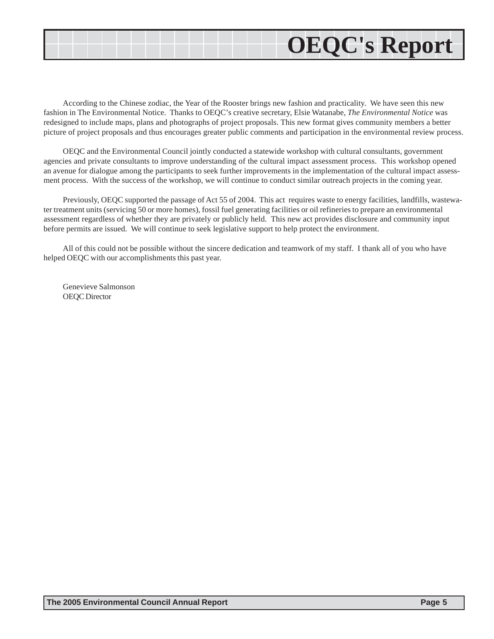# **OEQC's Report**

According to the Chinese zodiac, the Year of the Rooster brings new fashion and practicality. We have seen this new fashion in The Environmental Notice. Thanks to OEQC's creative secretary, Elsie Watanabe, *The Environmental Notice* was redesigned to include maps, plans and photographs of project proposals. This new format gives community members a better picture of project proposals and thus encourages greater public comments and participation in the environmental review process.

OEQC and the Environmental Council jointly conducted a statewide workshop with cultural consultants, government agencies and private consultants to improve understanding of the cultural impact assessment process. This workshop opened an avenue for dialogue among the participants to seek further improvements in the implementation of the cultural impact assessment process. With the success of the workshop, we will continue to conduct similar outreach projects in the coming year.

Previously, OEQC supported the passage of Act 55 of 2004. This act requires waste to energy facilities, landfills, wastewater treatment units (servicing 50 or more homes), fossil fuel generating facilities or oil refineries to prepare an environmental assessment regardless of whether they are privately or publicly held. This new act provides disclosure and community input before permits are issued. We will continue to seek legislative support to help protect the environment.

All of this could not be possible without the sincere dedication and teamwork of my staff. I thank all of you who have helped OEQC with our accomplishments this past year.

Genevieve Salmonson OEQC Director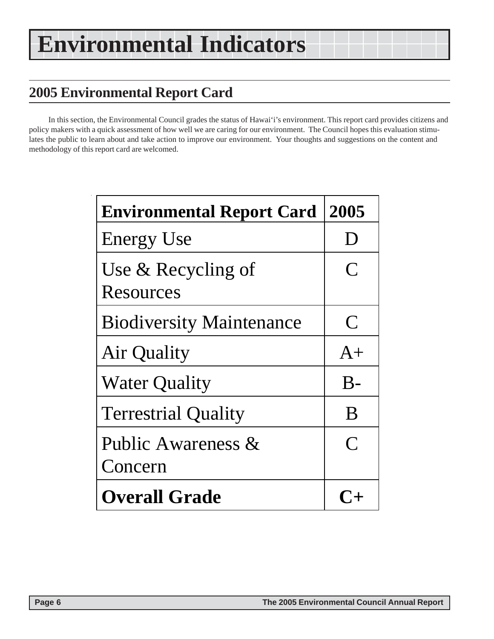### **2005 Environmental Report Card**

In this section, the Environmental Council grades the status of Hawai'i's environment. This report card provides citizens and policy makers with a quick assessment of how well we are caring for our environment. The Council hopes this evaluation stimulates the public to learn about and take action to improve our environment. Your thoughts and suggestions on the content and methodology of this report card are welcomed.

| <b>Environmental Report Card</b>  | 2005         |
|-----------------------------------|--------------|
| <b>Energy Use</b>                 | $\mathbf{I}$ |
| Use $&$ Recycling of<br>Resources | $\mathbf C$  |
| <b>Biodiversity Maintenance</b>   | $\mathbf C$  |
| Air Quality                       | $A+$         |
| <b>Water Quality</b>              | $B-$         |
| <b>Terrestrial Quality</b>        | B            |
| Public Awareness &<br>Concern     | $\bigcap$    |
| <b>Overall Grade</b>              |              |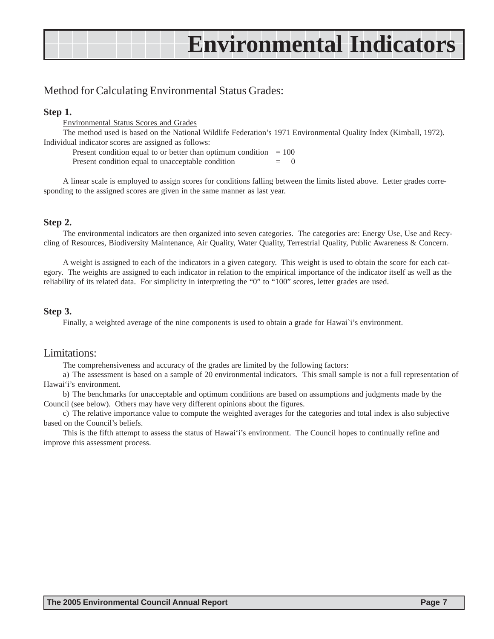### Method for Calculating Environmental Status Grades:

#### **Step 1.**

Environmental Status Scores and Grades

The method used is based on the National Wildlife Federation's 1971 Environmental Quality Index (Kimball, 1972). Individual indicator scores are assigned as follows:

Present condition equal to or better than optimum condition  $= 100$ 

Present condition equal to unacceptable condition

A linear scale is employed to assign scores for conditions falling between the limits listed above. Letter grades corresponding to the assigned scores are given in the same manner as last year.

#### **Step 2.**

The environmental indicators are then organized into seven categories. The categories are: Energy Use, Use and Recycling of Resources, Biodiversity Maintenance, Air Quality, Water Quality, Terrestrial Quality, Public Awareness & Concern.

A weight is assigned to each of the indicators in a given category. This weight is used to obtain the score for each category. The weights are assigned to each indicator in relation to the empirical importance of the indicator itself as well as the reliability of its related data. For simplicity in interpreting the "0" to "100" scores, letter grades are used.

#### **Step 3.**

Finally, a weighted average of the nine components is used to obtain a grade for Hawai`i's environment.

#### Limitations:

The comprehensiveness and accuracy of the grades are limited by the following factors:

a) The assessment is based on a sample of 20 environmental indicators. This small sample is not a full representation of Hawai'i's environment.

b) The benchmarks for unacceptable and optimum conditions are based on assumptions and judgments made by the Council (see below). Others may have very different opinions about the figures.

c) The relative importance value to compute the weighted averages for the categories and total index is also subjective based on the Council's beliefs.

This is the fifth attempt to assess the status of Hawai'i's environment. The Council hopes to continually refine and improve this assessment process.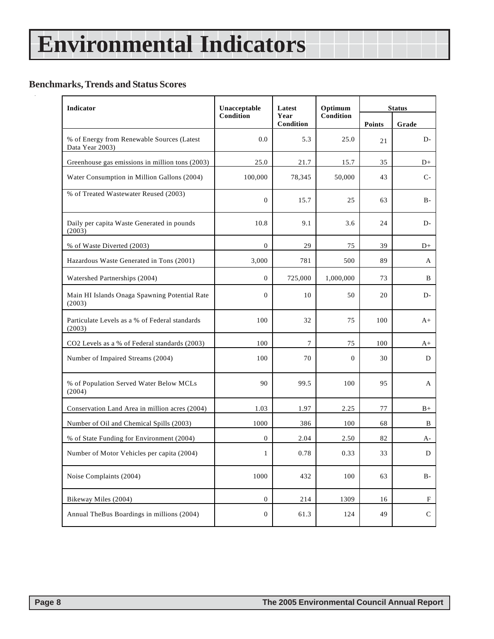### **Benchmarks, Trends and Status Scores**

 $\hat{\mathcal{A}}$ 

| <b>Indicator</b>                                              | Unacceptable     | Latest            | Optimum      | <b>Status</b> |             |  |
|---------------------------------------------------------------|------------------|-------------------|--------------|---------------|-------------|--|
|                                                               | Condition        | Year<br>Condition | Condition    | Points        | Grade       |  |
| % of Energy from Renewable Sources (Latest<br>Data Year 2003) | 0.0              | 5.3               | 25.0         | 21            | D-          |  |
| Greenhouse gas emissions in million tons (2003)               | 25.0             | 21.7              | 15.7         | 35            | $D+$        |  |
| Water Consumption in Million Gallons (2004)                   | 100,000          | 78,345            | 50,000       | 43            | $C-$        |  |
| % of Treated Wastewater Reused (2003)                         | $\mathbf{0}$     | 15.7              | 25           | 63            | $B -$       |  |
| Daily per capita Waste Generated in pounds<br>(2003)          | 10.8             | 9.1               | 3.6          | 24            | D-          |  |
| % of Waste Diverted (2003)                                    | $\boldsymbol{0}$ | 29                | 75           | 39            | D+          |  |
| Hazardous Waste Generated in Tons (2001)                      | 3,000            | 781               | 500          | 89            | A           |  |
| Watershed Partnerships (2004)                                 | $\mathbf{0}$     | 725,000           | 1,000,000    | 73            | B           |  |
| Main HI Islands Onaga Spawning Potential Rate<br>(2003)       | $\theta$         | 10                | 50           | 20            | D-          |  |
| Particulate Levels as a % of Federal standards<br>(2003)      | 100              | 32                | 75           | 100           | $A+$        |  |
| CO2 Levels as a % of Federal standards (2003)                 | 100              | 7                 | 75           | 100           | A+          |  |
| Number of Impaired Streams (2004)                             | 100              | 70                | $\mathbf{0}$ | 30            | D           |  |
| % of Population Served Water Below MCLs<br>(2004)             | 90               | 99.5              | 100          | 95            | A           |  |
| Conservation Land Area in million acres (2004)                | 1.03             | 1.97              | 2.25         | 77            | $B+$        |  |
| Number of Oil and Chemical Spills (2003)                      | 1000             | 386               | 100          | 68            | B           |  |
| % of State Funding for Environment (2004)                     | $\boldsymbol{0}$ | 2.04              | 2.50         | 82            | А-          |  |
| Number of Motor Vehicles per capita (2004)                    | $\mathbf{1}$     | 0.78              | 0.33         | 33            | D           |  |
| Noise Complaints (2004)                                       | 1000             | 432               | 100          | 63            | $B -$       |  |
| Bikeway Miles (2004)                                          | $\boldsymbol{0}$ | 214               | 1309         | 16            | F           |  |
| Annual TheBus Boardings in millions (2004)                    | $\boldsymbol{0}$ | 61.3              | 124          | 49            | $\mathsf C$ |  |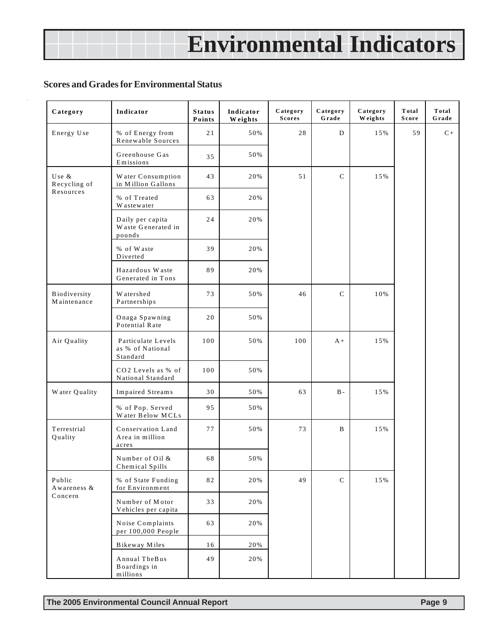#### **Scores and Grades for Environmental Status**

| Category                    | Indicator                                          | <b>Status</b><br>Points | Indicator<br>Weights | Category<br><b>Scores</b> | Category<br>Grade | Category<br>Weights | Total<br>Score | Total<br>Grade |
|-----------------------------|----------------------------------------------------|-------------------------|----------------------|---------------------------|-------------------|---------------------|----------------|----------------|
| Energy Use                  | % of Energy from<br>Renewable Sources              | 21                      | 50%                  | 28                        | D                 | 15%                 | 59             | $C+$           |
|                             | Greenhouse Gas<br>Emissions                        | 35                      | 50%                  |                           |                   |                     |                |                |
| Use &<br>Recycling of       | Water Consumption<br>in Million Gallons            | 43                      | 20%                  | 51                        | $\mathcal{C}$     | 15%                 |                |                |
| Resources                   | % of Treated<br>W astewater                        | 63                      | 20%                  |                           |                   |                     |                |                |
|                             | Daily per capita<br>Waste Generated in<br>pounds   | 24                      | 20%                  |                           |                   |                     |                |                |
|                             | % of Waste<br>Diverted                             | 39                      | 20%                  |                           |                   |                     |                |                |
|                             | Hazardous Waste<br>Generated in Tons               | 89                      | 20%                  |                           |                   |                     |                |                |
| Biodiversity<br>Maintenance | W atershed<br>Partnerships                         | 73                      | 50%                  | 46                        | $\mathsf{C}$      | 10%                 |                |                |
|                             | Onaga Spawning<br>Potential Rate                   | 20                      | 50%                  |                           |                   |                     |                |                |
| Air Quality                 | Particulate Levels<br>as % of National<br>Standard | 100                     | 50%                  | 100                       | $A +$             | 15%                 |                |                |
|                             | CO2 Levels as % of<br>National Standard            | 100                     | 50%                  |                           |                   |                     |                |                |
| Water Quality               | Impaired Streams                                   | 30                      | 50%                  | 63                        | $B -$             | 15%                 |                |                |
|                             | % of Pop. Served<br>Water Below MCLs               | 95                      | 50%                  |                           |                   |                     |                |                |
| Terrestrial<br>Quality      | Conservation Land<br>Area in million<br>acres      | 77                      | 50%                  | 73                        | B                 | 15%                 |                |                |
|                             | Number of Oil &<br>Chemical Spills                 | 68                      | 50%                  |                           |                   |                     |                |                |
| Public<br>Awareness &       | % of State Funding<br>for Environment              | 82                      | 20%                  | 49                        | $\mathcal{C}$     | 15%                 |                |                |
| Concern                     | Number of Motor<br>Vehicles per capita             | 33                      | 20%                  |                           |                   |                     |                |                |
|                             | Noise Complaints<br>per 100,000 People             | 63                      | 20%                  |                           |                   |                     |                |                |
|                             | Bikeway Miles                                      | 16                      | 20%                  |                           |                   |                     |                |                |
|                             | Annual The Bus<br>Boardings in<br>millions         | 49                      | 20%                  |                           |                   |                     |                |                |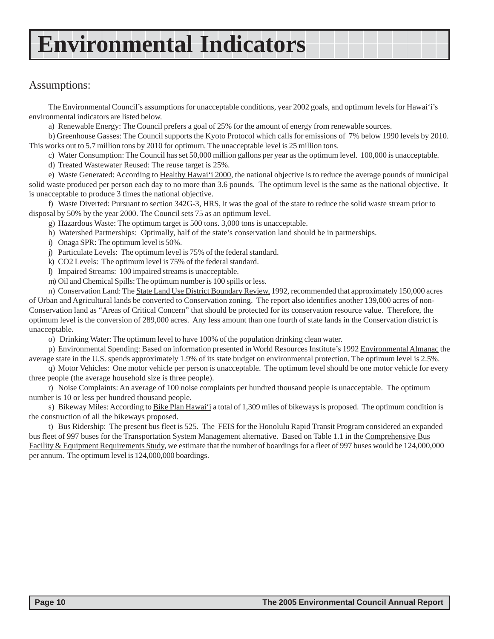### Assumptions:

The Environmental Council's assumptions for unacceptable conditions, year 2002 goals, and optimum levels for Hawai'i's environmental indicators are listed below.

a) Renewable Energy: The Council prefers a goal of 25% for the amount of energy from renewable sources.

b) Greenhouse Gasses: The Council supports the Kyoto Protocol which calls for emissions of 7% below 1990 levels by 2010. This works out to 5.7 million tons by 2010 for optimum. The unacceptable level is 25 million tons.

c) Water Consumption: The Council has set 50,000 million gallons per year as the optimum level. 100,000 is unacceptable.

d) Treated Wastewater Reused: The reuse target is 25%.

e) Waste Generated: According to Healthy Hawai'i 2000, the national objective is to reduce the average pounds of municipal solid waste produced per person each day to no more than 3.6 pounds. The optimum level is the same as the national objective. It is unacceptable to produce 3 times the national objective.

f) Waste Diverted: Pursuant to section 342G-3, HRS, it was the goal of the state to reduce the solid waste stream prior to disposal by 50% by the year 2000. The Council sets 75 as an optimum level.

g) Hazardous Waste: The optimum target is 500 tons. 3,000 tons is unacceptable.

h) Watershed Partnerships: Optimally, half of the state's conservation land should be in partnerships.

i) Onaga SPR: The optimum level is 50%.

j) Particulate Levels: The optimum level is 75% of the federal standard.

k) CO2 Levels: The optimum level is 75% of the federal standard.

l) Impaired Streams: 100 impaired streams is unacceptable.

m) Oil and Chemical Spills: The optimum number is 100 spills or less.

n) Conservation Land: The State Land Use District Boundary Review, 1992, recommended that approximately 150,000 acres of Urban and Agricultural lands be converted to Conservation zoning. The report also identifies another 139,000 acres of non-Conservation land as "Areas of Critical Concern" that should be protected for its conservation resource value. Therefore, the optimum level is the conversion of 289,000 acres. Any less amount than one fourth of state lands in the Conservation district is unacceptable.

o) Drinking Water: The optimum level to have 100% of the population drinking clean water.

p) Environmental Spending: Based on information presented in World Resources Institute's 1992 Environmental Almanac the average state in the U.S. spends approximately 1.9% of its state budget on environmental protection. The optimum level is 2.5%.

q) Motor Vehicles: One motor vehicle per person is unacceptable. The optimum level should be one motor vehicle for every three people (the average household size is three people).

r) Noise Complaints: An average of 100 noise complaints per hundred thousand people is unacceptable. The optimum number is 10 or less per hundred thousand people.

s) Bikeway Miles: According to Bike Plan Hawai'i a total of 1,309 miles of bikeways is proposed. The optimum condition is the construction of all the bikeways proposed.

t) Bus Ridership: The present bus fleet is 525. The FEIS for the Honolulu Rapid Transit Program considered an expanded bus fleet of 997 buses for the Transportation System Management alternative. Based on Table 1.1 in the Comprehensive Bus Facility & Equipment Requirements Study, we estimate that the number of boardings for a fleet of 997 buses would be 124,000,000 per annum. The optimum level is 124,000,000 boardings.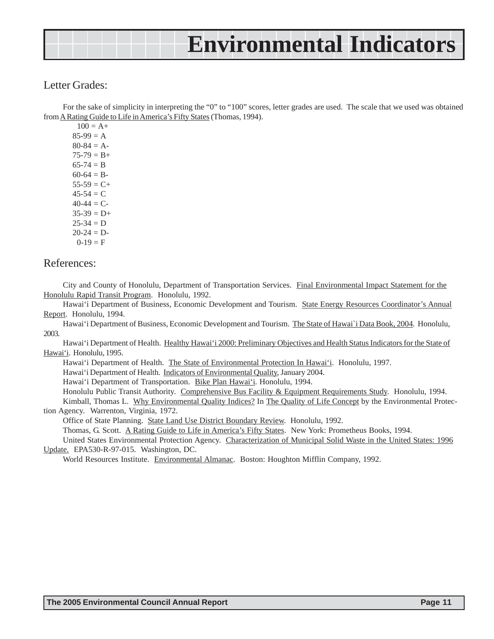### Letter Grades:

For the sake of simplicity in interpreting the "0" to "100" scores, letter grades are used. The scale that we used was obtained from A Rating Guide to Life in America's Fifty States (Thomas, 1994).

 $100 = A +$  $85-99 = A$  $80-84 = A$  $75-79 = B +$  $65-74 = B$  $60-64 = B$  $55-59 = C+$  $45-54 = C$  $40-44 = C$  $35-39 = D+$  $25 - 34 = D$  $20-24 = D$  $0-19 = F$ 

### References:

City and County of Honolulu, Department of Transportation Services. Final Environmental Impact Statement for the Honolulu Rapid Transit Program. Honolulu, 1992.

Hawai'i Department of Business, Economic Development and Tourism. State Energy Resources Coordinator's Annual Report. Honolulu, 1994.

Hawai'i Department of Business, Economic Development and Tourism. The State of Hawai'i Data Book, 2004. Honolulu, 2003.

Hawai'i Department of Health. Healthy Hawai'i 2000: Preliminary Objectives and Health Status Indicators for the State of Hawai'i. Honolulu, 1995.

Hawai'i Department of Health. The State of Environmental Protection In Hawai'i. Honolulu, 1997.

Hawai'i Department of Health. Indicators of Environmental Quality, January 2004.

Hawai'i Department of Transportation. Bike Plan Hawai'i. Honolulu, 1994.

Honolulu Public Transit Authority. Comprehensive Bus Facility & Equipment Requirements Study. Honolulu, 1994.

Kimball, Thomas L. Why Environmental Quality Indices? In The Quality of Life Concept by the Environmental Protection Agency. Warrenton, Virginia, 1972.

Office of State Planning. State Land Use District Boundary Review. Honolulu, 1992.

Thomas, G. Scott. A Rating Guide to Life in America's Fifty States. New York: Prometheus Books, 1994.

United States Environmental Protection Agency. Characterization of Municipal Solid Waste in the United States: 1996 Update. EPA530-R-97-015. Washington, DC.

World Resources Institute. Environmental Almanac. Boston: Houghton Mifflin Company, 1992.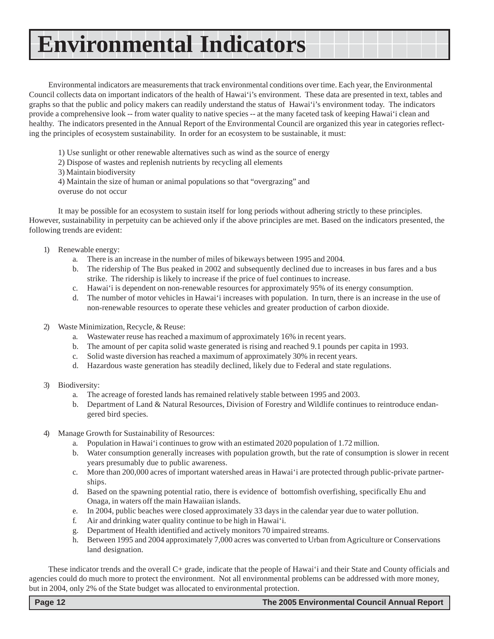Environmental indicators are measurements that track environmental conditions over time. Each year, the Environmental Council collects data on important indicators of the health of Hawai'i's environment. These data are presented in text, tables and graphs so that the public and policy makers can readily understand the status of Hawai'i's environment today. The indicators provide a comprehensive look -- from water quality to native species -- at the many faceted task of keeping Hawai'i clean and healthy. The indicators presented in the Annual Report of the Environmental Council are organized this year in categories reflecting the principles of ecosystem sustainability. In order for an ecosystem to be sustainable, it must:

- 1) Use sunlight or other renewable alternatives such as wind as the source of energy
- 2) Dispose of wastes and replenish nutrients by recycling all elements
- 3) Maintain biodiversity

4) Maintain the size of human or animal populations so that "overgrazing" and overuse do not occur

It may be possible for an ecosystem to sustain itself for long periods without adhering strictly to these principles. However, sustainability in perpetuity can be achieved only if the above principles are met. Based on the indicators presented, the following trends are evident:

- 1) Renewable energy:
	- a. There is an increase in the number of miles of bikeways between 1995 and 2004.
	- b. The ridership of The Bus peaked in 2002 and subsequently declined due to increases in bus fares and a bus strike. The ridership is likely to increase if the price of fuel continues to increase.
	- c. Hawai'i is dependent on non-renewable resources for approximately 95% of its energy consumption.
	- d. The number of motor vehicles in Hawai'i increases with population. In turn, there is an increase in the use of non-renewable resources to operate these vehicles and greater production of carbon dioxide.
- 2) Waste Minimization, Recycle, & Reuse:
	- a. Wastewater reuse has reached a maximum of approximately 16% in recent years.
	- b. The amount of per capita solid waste generated is rising and reached 9.1 pounds per capita in 1993.
	- c. Solid waste diversion has reached a maximum of approximately 30% in recent years.
	- d. Hazardous waste generation has steadily declined, likely due to Federal and state regulations.
- 3) Biodiversity:
	- a. The acreage of forested lands has remained relatively stable between 1995 and 2003.
	- b. Department of Land & Natural Resources, Division of Forestry and Wildlife continues to reintroduce endangered bird species.
- 4) Manage Growth for Sustainability of Resources:
	- a. Population in Hawai'i continues to grow with an estimated 2020 population of 1.72 million.
	- b. Water consumption generally increases with population growth, but the rate of consumption is slower in recent years presumably due to public awareness.
	- c. More than 200,000 acres of important watershed areas in Hawai'i are protected through public-private partnerships.
	- d. Based on the spawning potential ratio, there is evidence of bottomfish overfishing, specifically Ehu and Onaga, in waters off the main Hawaiian islands.
	- e. In 2004, public beaches were closed approximately 33 days in the calendar year due to water pollution.
	- f. Air and drinking water quality continue to be high in Hawai'i.
	- g. Department of Health identified and actively monitors 70 impaired streams.
	- h. Between 1995 and 2004 approximately 7,000 acres was converted to Urban from Agriculture or Conservations land designation.

These indicator trends and the overall C+ grade, indicate that the people of Hawai'i and their State and County officials and agencies could do much more to protect the environment. Not all environmental problems can be addressed with more money, but in 2004, only 2% of the State budget was allocated to environmental protection.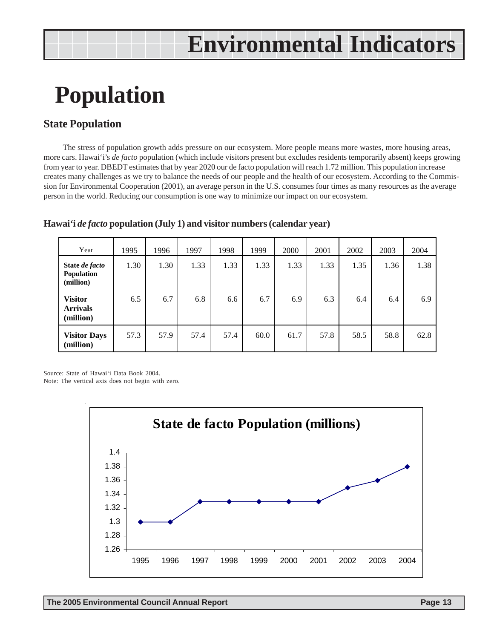### **Population**

### **State Population**

The stress of population growth adds pressure on our ecosystem. More people means more wastes, more housing areas, more cars. Hawai'i's *de facto* population (which include visitors present but excludes residents temporarily absent) keeps growing from year to year. DBEDT estimates that by year 2020 our de facto population will reach 1.72 million. This population increase creates many challenges as we try to balance the needs of our people and the health of our ecosystem. According to the Commission for Environmental Cooperation (2001), an average person in the U.S. consumes four times as many resources as the average person in the world. Reducing our consumption is one way to minimize our impact on our ecosystem.

| Year                                           | 1995 | 1996 | 1997 | 1998 | 1999 | 2000 | 2001 | 2002 | 2003 | 2004 |
|------------------------------------------------|------|------|------|------|------|------|------|------|------|------|
| State de facto<br>Population<br>(million)      | 1.30 | 1.30 | 1.33 | 1.33 | 1.33 | 1.33 | 1.33 | 1.35 | 1.36 | 1.38 |
| <b>Visitor</b><br><b>Arrivals</b><br>(million) | 6.5  | 6.7  | 6.8  | 6.6  | 6.7  | 6.9  | 6.3  | 6.4  | 6.4  | 6.9  |
| <b>Visitor Days</b><br>(million)               | 57.3 | 57.9 | 57.4 | 57.4 | 60.0 | 61.7 | 57.8 | 58.5 | 58.8 | 62.8 |

#### **Hawai'i** *de facto* **population (July 1) and visitor numbers (calendar year)**

Source: State of Hawai'i Data Book 2004.

Note: The vertical axis does not begin with zero.

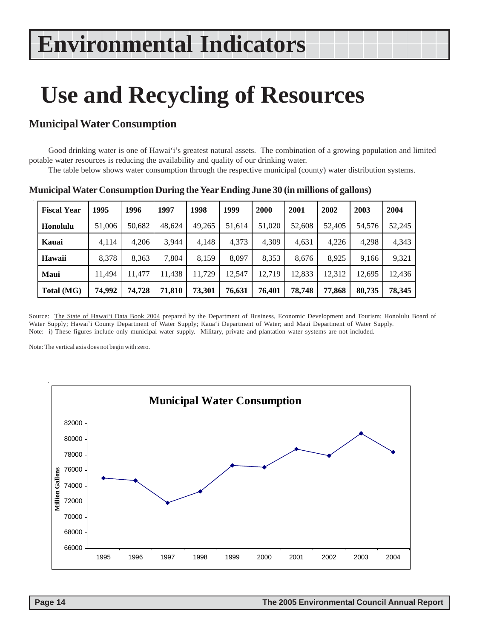### **Use and Recycling of Resources**

### **Municipal Water Consumption**

Good drinking water is one of Hawai'i's greatest natural assets. The combination of a growing population and limited potable water resources is reducing the availability and quality of our drinking water.

The table below shows water consumption through the respective municipal (county) water distribution systems.

| <b>Fiscal Year</b> | 1995   | 1996   | 1997   | 1998   | 1999   | 2000   | 2001   | 2002   | 2003   | 2004   |
|--------------------|--------|--------|--------|--------|--------|--------|--------|--------|--------|--------|
| Honolulu           | 51,006 | 50,682 | 48.624 | 49,265 | 51,614 | 51,020 | 52,608 | 52,405 | 54,576 | 52,245 |
| Kauai              | 4,114  | 4,206  | 3,944  | 4,148  | 4,373  | 4,309  | 4,631  | 4,226  | 4,298  | 4,343  |
| Hawaii             | 8,378  | 8,363  | 7.804  | 8,159  | 8.097  | 8,353  | 8,676  | 8,925  | 9,166  | 9,321  |
| Maui               | 11.494 | 11.477 | 11.438 | 11,729 | 12,547 | 12,719 | 12.833 | 12,312 | 12,695 | 12,436 |
| Total (MG)         | 74.992 | 74,728 | 71,810 | 73,301 | 76,631 | 76,401 | 78,748 | 77,868 | 80,735 | 78,345 |

**Municipal Water Consumption During the Year Ending June 30 (in millions of gallons)**

Source: The State of Hawai'i Data Book 2004 prepared by the Department of Business, Economic Development and Tourism; Honolulu Board of Water Supply; Hawai`i County Department of Water Supply; Kaua'i Department of Water; and Maui Department of Water Supply. Note: i) These figures include only municipal water supply. Military, private and plantation water systems are not included.

Note: The vertical axis does not begin with zero.

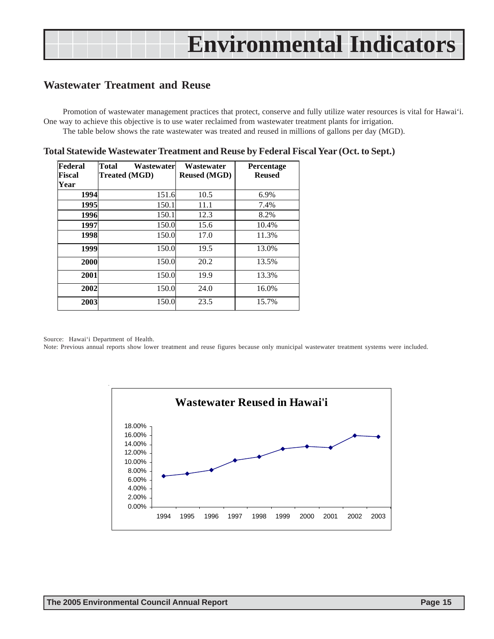### **Wastewater Treatment and Reuse**

Promotion of wastewater management practices that protect, conserve and fully utilize water resources is vital for Hawai'i. One way to achieve this objective is to use water reclaimed from wastewater treatment plants for irrigation. The table below shows the rate wastewater was treated and reused in millions of gallons per day (MGD).

| Federal<br><b>Fiscal</b><br>Year | Total<br>Wastewaterl<br><b>Treated (MGD)</b> | Wastewater<br><b>Reused (MGD)</b> | Percentage<br><b>Reused</b> |
|----------------------------------|----------------------------------------------|-----------------------------------|-----------------------------|
| 1994                             | 151.6                                        | 10.5                              | 6.9%                        |
| 1995                             | 150.1                                        | 11.1                              | 7.4%                        |
| 1996                             | 150.1                                        | 12.3                              | 8.2%                        |
| 1997                             | 150.0                                        | 15.6                              | 10.4%                       |
| 1998                             | 150.0                                        | 17.0                              | 11.3%                       |
| 1999                             | 150.0                                        | 19.5                              | 13.0%                       |
| 2000                             | 150.0<br>20.2                                |                                   | 13.5%                       |
| 2001                             | 150.0                                        | 19.9                              | 13.3%                       |
| 2002                             | 150.0                                        | 24.0                              | 16.0%                       |
| 2003                             | 150.0                                        | 23.5                              | 15.7%                       |

| Total Statewide Wastewater Treatment and Reuse by Federal Fiscal Year (Oct. to Sept.) |  |  |
|---------------------------------------------------------------------------------------|--|--|
|                                                                                       |  |  |

Source: Hawai'i Department of Health.

Note: Previous annual reports show lower treatment and reuse figures because only municipal wastewater treatment systems were included.

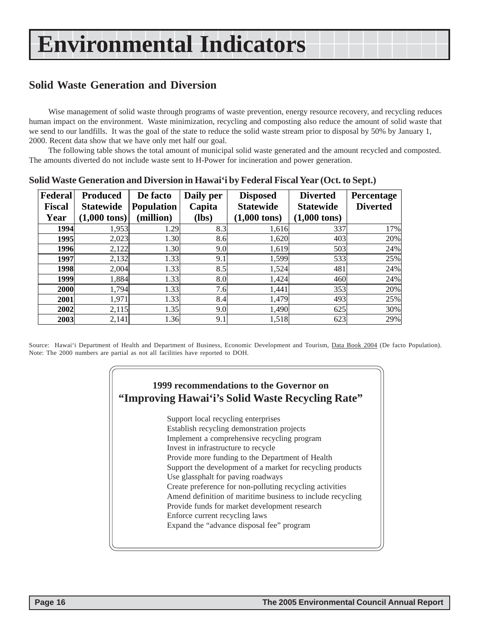### **Solid Waste Generation and Diversion**

Wise management of solid waste through programs of waste prevention, energy resource recovery, and recycling reduces human impact on the environment. Waste minimization, recycling and composting also reduce the amount of solid waste that we send to our landfills. It was the goal of the state to reduce the solid waste stream prior to disposal by 50% by January 1, 2000. Recent data show that we have only met half our goal.

The following table shows the total amount of municipal solid waste generated and the amount recycled and composted. The amounts diverted do not include waste sent to H-Power for incineration and power generation.

| Federal<br><b>Fiscal</b> | <b>Produced</b><br><b>Statewide</b> | De facto<br><b>Population</b> | Daily per<br>Capita | <b>Disposed</b><br><b>Statewide</b> | <b>Diverted</b><br><b>Statewide</b> | Percentage<br><b>Diverted</b> |
|--------------------------|-------------------------------------|-------------------------------|---------------------|-------------------------------------|-------------------------------------|-------------------------------|
| Year                     | $(1,000 \text{ tons})$              | (million)                     | (lbs)               | $(1,000 \text{ tons})$              | $(1,000 \text{ tons})$              |                               |
| 1994                     | 1,953                               | 1.29                          | 8.3                 | 1,616                               | 337                                 | 17%                           |
| 1995                     | 2,023                               | 1.30                          | 8.6                 | 1,620                               | 403                                 | 20%                           |
| 1996                     | 2,122                               | 1.30                          | 9.0                 | 1,619                               | 503                                 | 24%                           |
| 1997                     | 2,132                               | 1.33                          | 9.1                 | 1,599                               | 533                                 | 25%                           |
| 1998                     | 2,004                               | 1.33                          | 8.5                 | 1,524                               | 481                                 | 24%                           |
| 1999                     | 1,884                               | 1.33                          | 8.0                 | 1,424                               | 460                                 | 24%                           |
| 2000                     | 1,794                               | 1.33                          | 7.6                 | 1,441                               | 353                                 | 20%                           |
| 2001                     | 1,971                               | 1.33                          | 8.4                 | 1,479                               | 493                                 | 25%                           |
| 2002                     | 2,115                               | 1.35                          | 9.0                 | 1,490                               | 625                                 | 30%                           |
| 2003                     | 2,141                               | 1.36                          | 9.1                 | 1,518                               | 623                                 | 29%                           |

**Solid Waste Generation and Diversion in Hawai'i by Federal Fiscal Year (Oct. to Sept.)**

Source: Hawai'i Department of Health and Department of Business, Economic Development and Tourism, Data Book 2004 (De facto Population). Note: The 2000 numbers are partial as not all facilities have reported to DOH.

### **1999 recommendations to the Governor on "Improving Hawai'i's Solid Waste Recycling Rate"**

Support local recycling enterprises Establish recycling demonstration projects Implement a comprehensive recycling program Invest in infrastructure to recycle Provide more funding to the Department of Health Support the development of a market for recycling products Use glassphalt for paving roadways Create preference for non-polluting recycling activities Amend definition of maritime business to include recycling Provide funds for market development research Enforce current recycling laws Expand the "advance disposal fee" program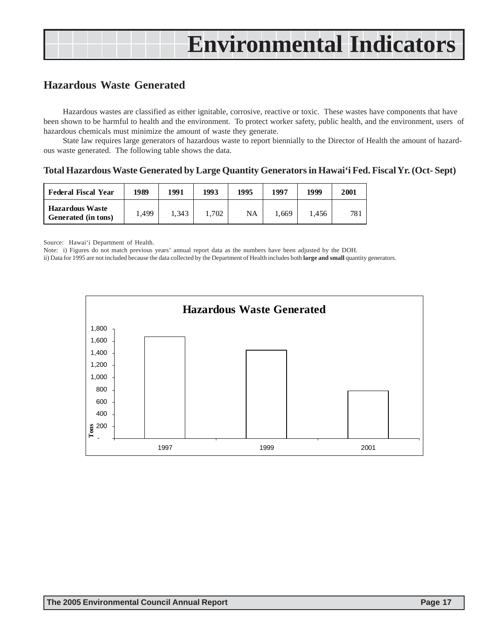### **Hazardous Waste Generated**

Hazardous wastes are classified as either ignitable, corrosive, reactive or toxic. These wastes have components that have been shown to be harmful to health and the environment. To protect worker safety, public health, and the environment, users of hazardous chemicals must minimize the amount of waste they generate.

State law requires large generators of hazardous waste to report biennially to the Director of Health the amount of hazardous waste generated. The following table shows the data.

#### **Total Hazardous Waste Generated by Large Quantity Generators in Hawai'i Fed. Fiscal Yr. (Oct- Sept)**

| <b>Federal Fiscal Year</b>                    | 1989  | 1991  | 1993  | 1995 | 1997  | 1999  | 2001 |
|-----------------------------------------------|-------|-------|-------|------|-------|-------|------|
| <b>Hazardous Waste</b><br>Generated (in tons) | .,499 | 1.343 | 1.702 | NA   | 1,669 | 1.456 | 781  |

Source: Hawai'i Department of Health.

Note: i) Figures do not match previous years' annual report data as the numbers have been adjusted by the DOH.

ii) Data for 1995 are not included because the data collected by the Department of Health includes both **large and small** quantity generators.

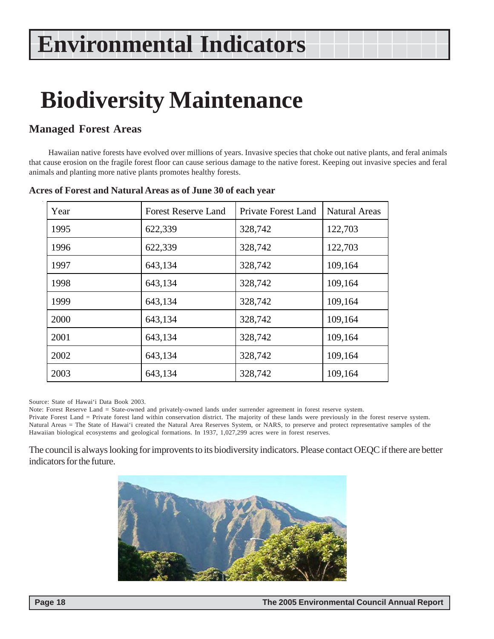### **Biodiversity Maintenance**

### **Managed Forest Areas**

Hawaiian native forests have evolved over millions of years. Invasive species that choke out native plants, and feral animals that cause erosion on the fragile forest floor can cause serious damage to the native forest. Keeping out invasive species and feral animals and planting more native plants promotes healthy forests.

| Year | <b>Forest Reserve Land</b> | <b>Private Forest Land</b> | <b>Natural Areas</b> |
|------|----------------------------|----------------------------|----------------------|
| 1995 | 622,339                    | 328,742                    | 122,703              |
| 1996 | 622,339                    | 328,742                    | 122,703              |
| 1997 | 643,134                    | 328,742                    | 109,164              |
| 1998 | 643,134                    | 328,742                    | 109,164              |
| 1999 | 643,134                    | 328,742                    | 109,164              |
| 2000 | 643,134                    | 328,742                    | 109,164              |
| 2001 | 643,134                    | 328,742                    | 109,164              |
| 2002 | 643,134                    | 328,742                    | 109,164              |
| 2003 | 643,134                    | 328,742                    | 109,164              |

#### **Acres of Forest and Natural Areas as of June 30 of each year**

Source: State of Hawai'i Data Book 2003.

Note: Forest Reserve Land = State-owned and privately-owned lands under surrender agreement in forest reserve system.

Private Forest Land = Private forest land within conservation district. The majority of these lands were previously in the forest reserve system. Natural Areas = The State of Hawai'i created the Natural Area Reserves System, or NARS, to preserve and protect representative samples of the Hawaiian biological ecosystems and geological formations. In 1937, 1,027,299 acres were in forest reserves.

The council is always looking for improvents to its biodiversity indicators. Please contact OEQC if there are better indicators for the future.

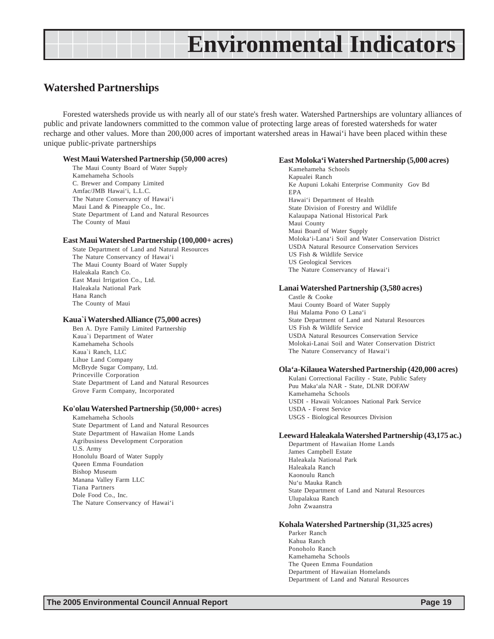### **Watershed Partnerships**

Forested watersheds provide us with nearly all of our state's fresh water. Watershed Partnerships are voluntary alliances of public and private landowners committed to the common value of protecting large areas of forested watersheds for water recharge and other values. More than 200,000 acres of important watershed areas in Hawai'i have been placed within these unique public-private partnerships

#### **West Maui Watershed Partnership (50,000 acres)**

The Maui County Board of Water Supply Kamehameha Schools C. Brewer and Company Limited Amfac/JMB Hawai'i, L.L.C. The Nature Conservancy of Hawai'i Maui Land & Pineapple Co., Inc. State Department of Land and Natural Resources The County of Maui

#### **East Maui Watershed Partnership (100,000+ acres)**

State Department of Land and Natural Resources The Nature Conservancy of Hawai'i The Maui County Board of Water Supply Haleakala Ranch Co. East Maui Irrigation Co., Ltd. Haleakala National Park Hana Ranch The County of Maui

#### **Kaua`i Watershed Alliance (75,000 acres)**

Ben A. Dyre Family Limited Partnership Kaua`i Department of Water Kamehameha Schools Kaua`i Ranch, LLC Lihue Land Company McBryde Sugar Company, Ltd. Princeville Corporation State Department of Land and Natural Resources Grove Farm Company, Incorporated

#### **Ko'olau Watershed Partnership (50,000+ acres)**

Kamehameha Schools State Department of Land and Natural Resources State Department of Hawaiian Home Lands Agribusiness Development Corporation U.S. Army Honolulu Board of Water Supply Queen Emma Foundation Bishop Museum Manana Valley Farm LLC Tiana Partners Dole Food Co., Inc. The Nature Conservancy of Hawai'i

#### **East Moloka'i Watershed Partnership (5,000 acres)**

Kamehameha Schools Kapualei Ranch Ke Aupuni Lokahi Enterprise Community Gov Bd EPA Hawai'i Department of Health State Division of Forestry and Wildlife Kalaupapa National Historical Park Maui County Maui Board of Water Supply Moloka'i-Lana'i Soil and Water Conservation District USDA Natural Resource Conservation Services US Fish & Wildlife Service US Geological Services The Nature Conservancy of Hawai'i

#### **Lanai Watershed Partnership (3,580 acres)**

Castle & Cooke Maui County Board of Water Supply Hui Malama Pono O Lana'i State Department of Land and Natural Resources US Fish & Wildlife Service USDA Natural Resources Conservation Service Molokai-Lanai Soil and Water Conservation District The Nature Conservancy of Hawai'i

#### **Ola'a-Kilauea Watershed Partnership (420,000 acres)**

Kulani Correctional Facility - State, Public Safety Puu Maka'ala NAR - State, DLNR DOFAW Kamehameha Schools USDI - Hawaii Volcanoes National Park Service USDA - Forest Service USGS - Biological Resources Division

#### **Leeward Haleakala Watershed Partnership (43,175 ac.)**

Department of Hawaiian Home Lands James Campbell Estate Haleakala National Park Haleakala Ranch Kaonoulu Ranch Nu'u Mauka Ranch State Department of Land and Natural Resources Ulupalakua Ranch John Zwaanstra

#### **Kohala Watershed Partnership (31,325 acres)**

Parker Ranch Kahua Ranch Ponoholo Ranch Kamehameha Schools The Queen Emma Foundation Department of Hawaiian Homelands Department of Land and Natural Resources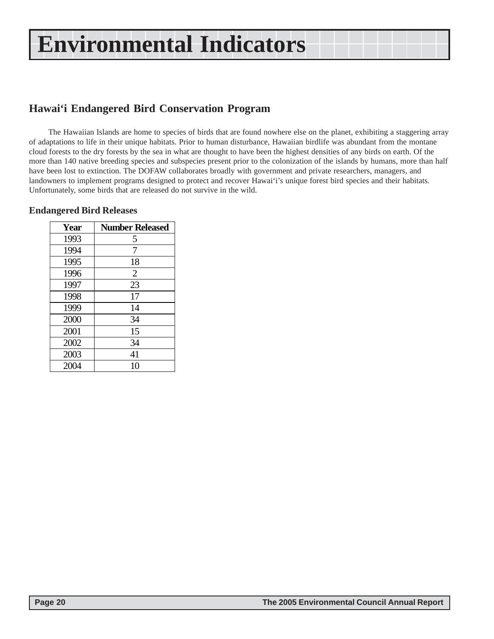### **Hawai'i Endangered Bird Conservation Program**

The Hawaiian Islands are home to species of birds that are found nowhere else on the planet, exhibiting a staggering array of adaptations to life in their unique habitats. Prior to human disturbance, Hawaiian birdlife was abundant from the montane cloud forests to the dry forests by the sea in what are thought to have been the highest densities of any birds on earth. Of the more than 140 native breeding species and subspecies present prior to the colonization of the islands by humans, more than half have been lost to extinction. The DOFAW collaborates broadly with government and private researchers, managers, and landowners to implement programs designed to protect and recover Hawai'i's unique forest bird species and their habitats. Unfortunately, some birds that are released do not survive in the wild.

| Year | <b>Number Released</b> |
|------|------------------------|
| 1993 | 5                      |
| 1994 | 7                      |
| 1995 | 18                     |
| 1996 | $\overline{2}$         |
| 1997 | 23                     |
| 1998 | 17                     |
| 1999 | 14                     |
| 2000 | 34                     |
| 2001 | 15                     |
| 2002 | 34                     |
| 2003 | 41                     |
| 2004 | 10                     |

#### **Endangered Bird Releases**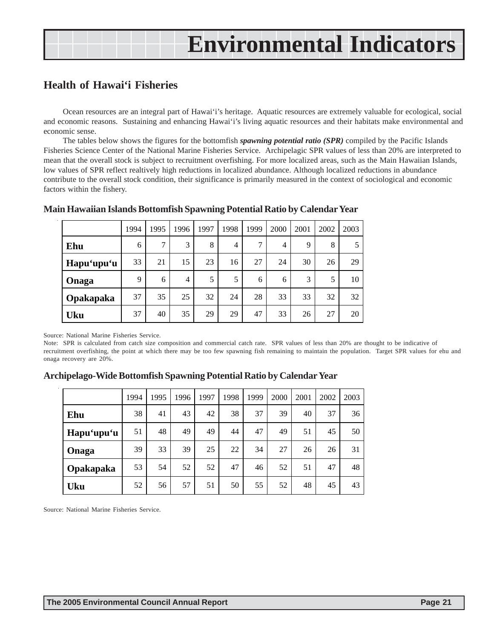### **Health of Hawai'i Fisheries**

Ocean resources are an integral part of Hawai'i's heritage. Aquatic resources are extremely valuable for ecological, social and economic reasons. Sustaining and enhancing Hawai'i's living aquatic resources and their habitats make environmental and economic sense.

The tables below shows the figures for the bottomfish *spawning potential ratio (SPR)* compiled by the Pacific Islands Fisheries Science Center of the National Marine Fisheries Service. Archipelagic SPR values of less than 20% are interpreted to mean that the overall stock is subject to recruitment overfishing. For more localized areas, such as the Main Hawaiian Islands, low values of SPR reflect realtively high reductions in localized abundance. Although localized reductions in abundance contribute to the overall stock condition, their significance is primarily measured in the context of sociological and economic factors within the fishery.

|            | 1994 | 1995         | 1996           | 1997 | 1998 | 1999          | 2000 | 2001        | 2002 | 2003 |
|------------|------|--------------|----------------|------|------|---------------|------|-------------|------|------|
| Ehu        | 6    | $\mathbf{r}$ | 3              | 8    | 4    | $\mathcal{I}$ | 4    | $\mathbf Q$ | 8    | 5    |
| Hapu'upu'u | 33   | 21           | 15             | 23   | 16   | 27            | 24   | 30          | 26   | 29   |
| Onaga      | 9    | 6            | $\overline{4}$ | 5    | 5    | 6             | 6    | 3           | 5    | 10   |
| Opakapaka  | 37   | 35           | 25             | 32   | 24   | 28            | 33   | 33          | 32   | 32   |
| <b>Uku</b> | 37   | 40           | 35             | 29   | 29   | 47            | 33   | 26          | 27   | 20   |

#### **Main Hawaiian Islands Bottomfish Spawning Potential Ratio by Calendar Year**

Source: National Marine Fisheries Service.

Note: SPR is calculated from catch size composition and commercial catch rate. SPR values of less than 20% are thought to be indicative of recruitment overfishing, the point at which there may be too few spawning fish remaining to maintain the population. Target SPR values for ehu and onaga recovery are 20%.

|            | 1994 | 1995 | 1996 | 1997 | 1998 | 1999 | 2000 | 2001 | 2002 | 2003 |
|------------|------|------|------|------|------|------|------|------|------|------|
| Ehu        | 38   | 41   | 43   | 42   | 38   | 37   | 39   | 40   | 37   | 36   |
| Hapu'upu'u | 51   | 48   | 49   | 49   | 44   | 47   | 49   | 51   | 45   | 50   |
| Onaga      | 39   | 33   | 39   | 25   | 22   | 34   | 27   | 26   | 26   | 31   |
| Opakapaka  | 53   | 54   | 52   | 52   | 47   | 46   | 52   | 51   | 47   | 48   |
| <b>Uku</b> | 52   | 56   | 57   | 51   | 50   | 55   | 52   | 48   | 45   | 43   |

### **Archipelago-Wide Bottomfish Spawning Potential Ratio by Calendar Year**

Source: National Marine Fisheries Service.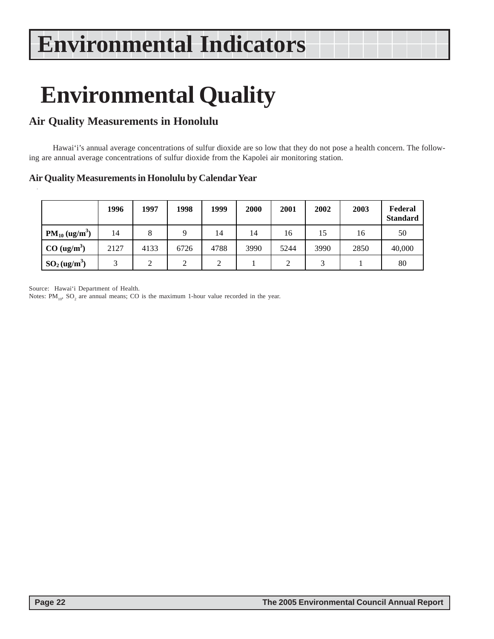# **Environmental Quality**

### **Air Quality Measurements in Honolulu**

 Hawai'i's annual average concentrations of sulfur dioxide are so low that they do not pose a health concern. The following are annual average concentrations of sulfur dioxide from the Kapolei air monitoring station.

### **Air Quality Measurements in Honolulu by Calendar Year**

|                             | 1996          | 1997 | 1998 | 1999 | 2000 | 2001 | 2002 | 2003 | Federal<br><b>Standard</b> |
|-----------------------------|---------------|------|------|------|------|------|------|------|----------------------------|
| $PM_{10} (ug/m^3)$          | 14            | 8    | Q    | 14   | 14   | 16   | 15   | 16   | 50                         |
| CO (ug/m <sup>3</sup> )     | 2127          | 4133 | 6726 | 4788 | 3990 | 5244 | 3990 | 2850 | 40,000                     |
| $SO_2$ (ug/m <sup>3</sup> ) | $\mathcal{R}$ | 2    | 2    | ↑    |      | 2    |      |      | 80                         |

Source: Hawai'i Department of Health.

Notes:  $PM_{10}$ ,  $SO_2$  are annual means; CO is the maximum 1-hour value recorded in the year.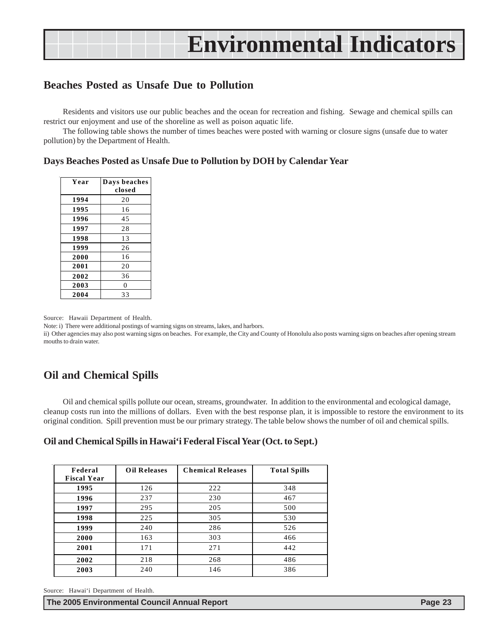### **Beaches Posted as Unsafe Due to Pollution**

Residents and visitors use our public beaches and the ocean for recreation and fishing. Sewage and chemical spills can restrict our enjoyment and use of the shoreline as well as poison aquatic life.

The following table shows the number of times beaches were posted with warning or closure signs (unsafe due to water pollution) by the Department of Health.

#### **Days Beaches Posted as Unsafe Due to Pollution by DOH by Calendar Year**

| Year | Days beaches |
|------|--------------|
|      | closed       |
| 1994 | 20           |
| 1995 | 16           |
| 1996 | 45           |
| 1997 | 28           |
| 1998 | 13           |
| 1999 | 26           |
| 2000 | 16           |
| 2001 | 20           |
| 2002 | 36           |
| 2003 | 0            |
| 2004 | 33           |

Source: Hawaii Department of Health.

Note: i) There were additional postings of warning signs on streams, lakes, and harbors.

ii) Other agencies may also post warning signs on beaches. For example, the City and County of Honolulu also posts warning signs on beaches after opening stream mouths to drain water.

### **Oil and Chemical Spills**

Oil and chemical spills pollute our ocean, streams, groundwater. In addition to the environmental and ecological damage, cleanup costs run into the millions of dollars. Even with the best response plan, it is impossible to restore the environment to its original condition. Spill prevention must be our primary strategy. The table below shows the number of oil and chemical spills.

#### **Oil and Chemical Spills in Hawai'i Federal Fiscal Year (Oct. to Sept.)**

| Federal<br><b>Fiscal Year</b> | <b>Oil Releases</b> | <b>Chemical Releases</b> | <b>Total Spills</b> |
|-------------------------------|---------------------|--------------------------|---------------------|
| 1995                          | 126                 | 222                      | 348                 |
| 1996                          | 237                 | 230                      | 467                 |
| 1997                          | 295                 | 205                      | 500                 |
| 1998                          | 225                 | 305                      | 530                 |
| 1999                          | 240                 | 286                      | 526                 |
| 2000                          | 163                 | 303                      | 466                 |
| 2001                          | 171                 | 271                      | 442                 |
| 2002                          | 218                 | 268                      | 486                 |
| 2003                          | 240                 | 146                      | 386                 |

Source: Hawai'i Department of Health.

**The 2005 Environmental Council Annual Report Page 23**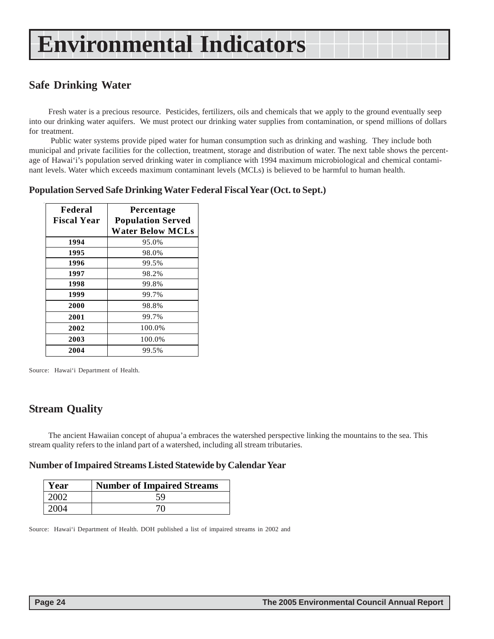### **Safe Drinking Water**

Fresh water is a precious resource. Pesticides, fertilizers, oils and chemicals that we apply to the ground eventually seep into our drinking water aquifers. We must protect our drinking water supplies from contamination, or spend millions of dollars for treatment.

 Public water systems provide piped water for human consumption such as drinking and washing. They include both municipal and private facilities for the collection, treatment, storage and distribution of water. The next table shows the percentage of Hawai'i's population served drinking water in compliance with 1994 maximum microbiological and chemical contaminant levels. Water which exceeds maximum contaminant levels (MCLs) is believed to be harmful to human health.

#### **Population Served Safe Drinking Water Federal Fiscal Year (Oct. to Sept.)**

| Federal<br><b>Fiscal Year</b> | Percentage<br><b>Population Served</b> |
|-------------------------------|----------------------------------------|
|                               | <b>Water Below MCLs</b>                |
| 1994                          | 95.0%                                  |
| 1995                          | 98.0%                                  |
| 1996                          | 99.5%                                  |
| 1997                          | 98.2%                                  |
| 1998                          | 99.8%                                  |
| 1999                          | 99.7%                                  |
| 2000                          | 98.8%                                  |
| 2001                          | 99.7%                                  |
| 2002                          | 100.0%                                 |
| 2003                          | 100.0%                                 |
| 2004                          | 99.5%                                  |

Source: Hawai'i Department of Health.

### **Stream Quality**

The ancient Hawaiian concept of ahupua'a embraces the watershed perspective linking the mountains to the sea. This stream quality refers to the inland part of a watershed, including all stream tributaries.

#### **Number of Impaired Streams Listed Statewide by Calendar Year**

| Year  | <b>Number of Impaired Streams</b> |
|-------|-----------------------------------|
| 2002. | 59                                |
| 2004  |                                   |

Source: Hawai'i Department of Health. DOH published a list of impaired streams in 2002 and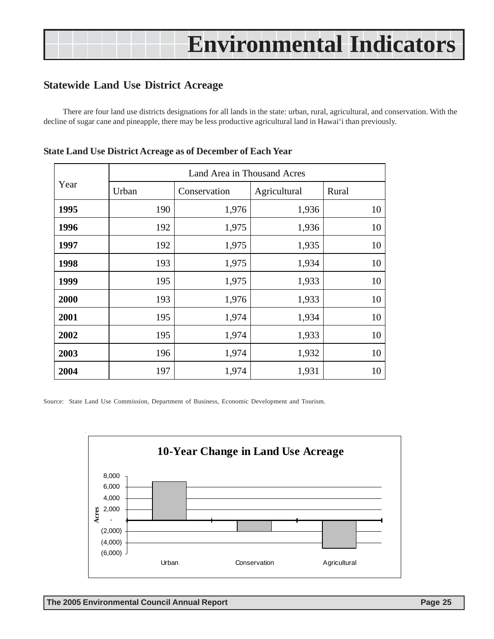### **Statewide Land Use District Acreage**

There are four land use districts designations for all lands in the state: urban, rural, agricultural, and conservation. With the decline of sugar cane and pineapple, there may be less productive agricultural land in Hawai'i than previously.

|      |       | Land Area in Thousand Acres |              |       |
|------|-------|-----------------------------|--------------|-------|
| Year | Urban | Conservation                | Agricultural | Rural |
| 1995 | 190   | 1,976                       | 1,936        | 10    |
| 1996 | 192   | 1,975                       | 1,936        | 10    |
| 1997 | 192   | 1,975                       | 1,935        | 10    |
| 1998 | 193   | 1,975                       | 1,934        | 10    |
| 1999 | 195   | 1,975                       | 1,933        | 10    |
| 2000 | 193   | 1,976                       | 1,933        | 10    |
| 2001 | 195   | 1,974                       | 1,934        | 10    |
| 2002 | 195   | 1,974                       | 1,933        | 10    |
| 2003 | 196   | 1,974                       | 1,932        | 10    |
| 2004 | 197   | 1,974                       | 1,931        | 10    |

|  | <b>State Land Use District Acreage as of December of Each Year</b> |  |  |  |
|--|--------------------------------------------------------------------|--|--|--|
|--|--------------------------------------------------------------------|--|--|--|

Source: State Land Use Commission, Department of Business, Economic Development and Tourism.

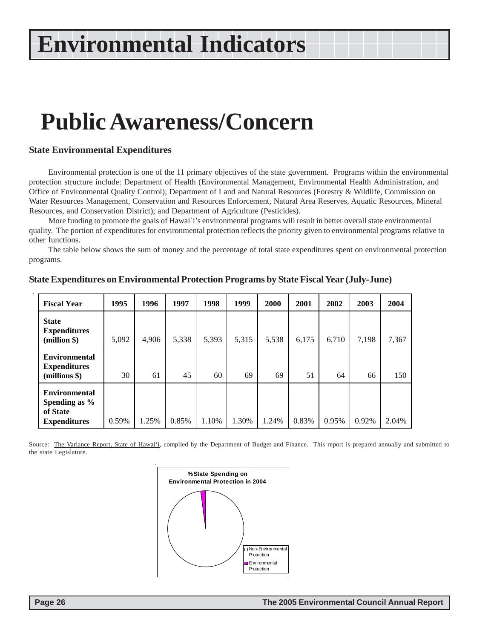### **Public Awareness/Concern**

#### **State Environmental Expenditures**

Environmental protection is one of the 11 primary objectives of the state government. Programs within the environmental protection structure include: Department of Health (Environmental Management, Environmental Health Administration, and Office of Environmental Quality Control); Department of Land and Natural Resources (Forestry & Wildlife, Commission on Water Resources Management, Conservation and Resources Enforcement, Natural Area Reserves, Aquatic Resources, Mineral Resources, and Conservation District); and Department of Agriculture (Pesticides).

More funding to promote the goals of Hawai`i's environmental programs will result in better overall state environmental quality. The portion of expenditures for environmental protection reflects the priority given to environmental programs relative to other functions.

The table below shows the sum of money and the percentage of total state expenditures spent on environmental protection programs.

| <b>Fiscal Year</b>                                                       | 1995  | 1996  | 1997  | 1998  | 1999  | 2000  | 2001  | 2002  | 2003  | 2004  |
|--------------------------------------------------------------------------|-------|-------|-------|-------|-------|-------|-------|-------|-------|-------|
| <b>State</b><br><b>Expenditures</b><br>(million \$)                      | 5,092 | 4,906 | 5,338 | 5,393 | 5,315 | 5,538 | 6,175 | 6,710 | 7,198 | 7,367 |
| <b>Environmental</b><br><b>Expenditures</b><br>(millions \$)             | 30    | 61    | 45    | 60    | 69    | 69    | 51    | 64    | 66    | 150   |
| <b>Environmental</b><br>Spending as %<br>of State<br><b>Expenditures</b> | 0.59% | 1.25% | 0.85% | 1.10% | 1.30% | 1.24% | 0.83% | 0.95% | 0.92% | 2.04% |

#### **State Expenditures on Environmental Protection Programs by State Fiscal Year (July-June)**

Source: The Variance Report, State of Hawai'i, compiled by the Department of Budget and Finance. This report is prepared annually and submitted to the state Legislature.

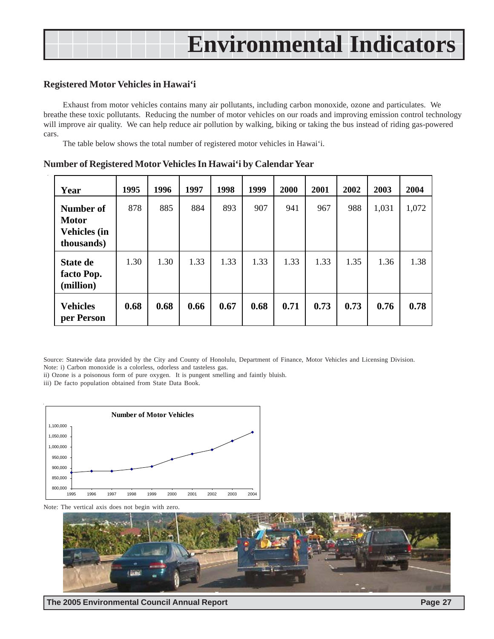#### **Registered Motor Vehicles in Hawai'i**

Exhaust from motor vehicles contains many air pollutants, including carbon monoxide, ozone and particulates. We breathe these toxic pollutants. Reducing the number of motor vehicles on our roads and improving emission control technology will improve air quality. We can help reduce air pollution by walking, biking or taking the bus instead of riding gas-powered cars.

The table below shows the total number of registered motor vehicles in Hawai'i.

| Year                                                           | 1995 | 1996 | 1997 | 1998 | 1999 | 2000 | 2001 | 2002 | 2003  | 2004  |
|----------------------------------------------------------------|------|------|------|------|------|------|------|------|-------|-------|
| Number of<br><b>Motor</b><br><b>Vehicles (in</b><br>thousands) | 878  | 885  | 884  | 893  | 907  | 941  | 967  | 988  | 1,031 | 1,072 |
| <b>State de</b><br>facto Pop.<br>(million)                     | 1.30 | 1.30 | 1.33 | 1.33 | 1.33 | 1.33 | 1.33 | 1.35 | 1.36  | 1.38  |
| <b>Vehicles</b><br>per Person                                  | 0.68 | 0.68 | 0.66 | 0.67 | 0.68 | 0.71 | 0.73 | 0.73 | 0.76  | 0.78  |

**Number of Registered Motor Vehicles In Hawai'i by Calendar Year**

Source: Statewide data provided by the City and County of Honolulu, Department of Finance, Motor Vehicles and Licensing Division.

Note: i) Carbon monoxide is a colorless, odorless and tasteless gas.

ii) Ozone is a poisonous form of pure oxygen. It is pungent smelling and faintly bluish.

iii) De facto population obtained from State Data Book.





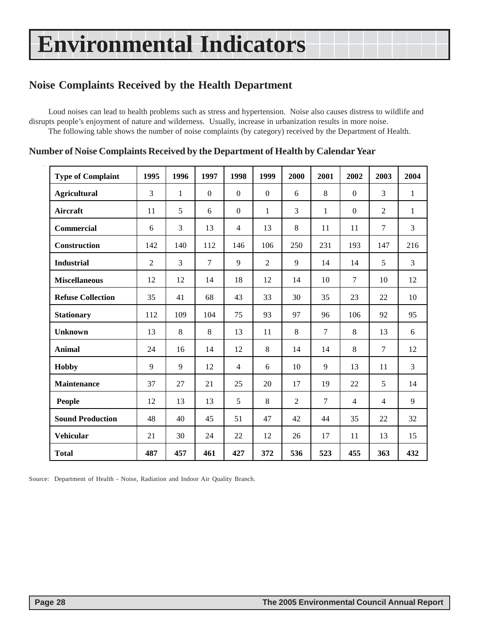### **Noise Complaints Received by the Health Department**

Loud noises can lead to health problems such as stress and hypertension. Noise also causes distress to wildlife and disrupts people's enjoyment of nature and wilderness. Usually, increase in urbanization results in more noise. The following table shows the number of noise complaints (by category) received by the Department of Health.

| <b>Type of Complaint</b> | 1995 | 1996         | 1997             | 1998             | 1999           | 2000           | 2001   | 2002             | 2003           | 2004         |
|--------------------------|------|--------------|------------------|------------------|----------------|----------------|--------|------------------|----------------|--------------|
| <b>Agricultural</b>      | 3    | $\mathbf{1}$ | $\boldsymbol{0}$ | $\boldsymbol{0}$ | $\overline{0}$ | 6              | 8      | $\boldsymbol{0}$ | 3              | $\mathbf{1}$ |
| <b>Aircraft</b>          | 11   | 5            | 6                | $\boldsymbol{0}$ | $\mathbf{1}$   | 3              | 1      | $\overline{0}$   | 2              | 1            |
| <b>Commercial</b>        | 6    | 3            | 13               | $\overline{4}$   | 13             | 8              | 11     | 11               | $\tau$         | 3            |
| Construction             | 142  | 140          | 112              | 146              | 106            | 250            | 231    | 193              | 147            | 216          |
| <b>Industrial</b>        | 2    | 3            | $\tau$           | $\mathbf{Q}$     | $\overline{2}$ | 9              | 14     | 14               | 5              | 3            |
| <b>Miscellaneous</b>     | 12   | 12           | 14               | 18               | 12             | 14             | 10     | 7                | 10             | 12           |
| <b>Refuse Collection</b> | 35   | 41           | 68               | 43               | 33             | 30             | 35     | 23               | 22             | 10           |
| <b>Stationary</b>        | 112  | 109          | 104              | 75               | 93             | 97             | 96     | 106              | 92             | 95           |
| <b>Unknown</b>           | 13   | 8            | 8                | 13               | 11             | 8              | $\tau$ | 8                | 13             | 6            |
| <b>Animal</b>            | 24   | 16           | 14               | 12               | 8              | 14             | 14     | 8                | $\tau$         | 12           |
| <b>Hobby</b>             | 9    | 9            | 12               | $\overline{4}$   | 6              | 10             | 9      | 13               | 11             | 3            |
| <b>Maintenance</b>       | 37   | 27           | 21               | 25               | 20             | 17             | 19     | 22               | 5              | 14           |
| People                   | 12   | 13           | 13               | 5                | 8              | $\overline{2}$ | 7      | $\overline{4}$   | $\overline{4}$ | 9            |
| <b>Sound Production</b>  | 48   | 40           | 45               | 51               | 47             | 42             | 44     | 35               | 22             | 32           |
| <b>Vehicular</b>         | 21   | 30           | 24               | 22               | 12             | 26             | 17     | 11               | 13             | 15           |
| <b>Total</b>             | 487  | 457          | 461              | 427              | 372            | 536            | 523    | 455              | 363            | 432          |

#### **Number of Noise Complaints Received by the Department of Health by Calendar Year**

Source: Department of Health - Noise, Radiation and Indoor Air Quality Branch.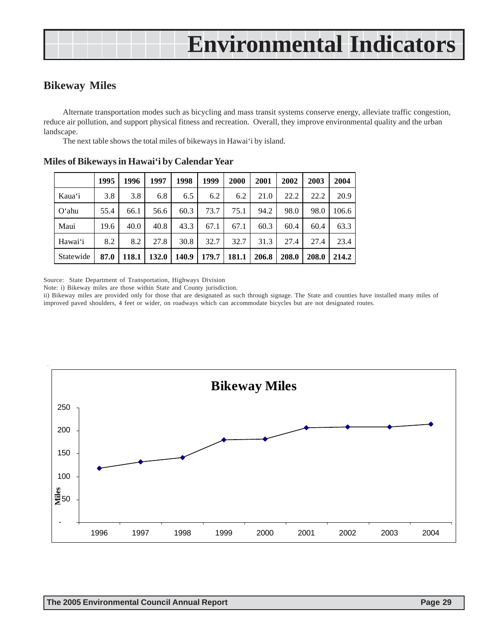### **Bikeway Miles**

Alternate transportation modes such as bicycling and mass transit systems conserve energy, alleviate traffic congestion, reduce air pollution, and support physical fitness and recreation. Overall, they improve environmental quality and the urban landscape.

The next table shows the total miles of bikeways in Hawai'i by island.

|           | 1995 | 1996  | 1997  | 1998  | 1999  | 2000  | 2001  | 2002  | 2003  | 2004  |
|-----------|------|-------|-------|-------|-------|-------|-------|-------|-------|-------|
| Kaua'i    | 3.8  | 3.8   | 6.8   | 6.5   | 6.2   | 6.2   | 21.0  | 22.2  | 22.2  | 20.9  |
| $O'$ ahu  | 55.4 | 66.1  | 56.6  | 60.3  | 73.7  | 75.1  | 94.2  | 98.0  | 98.0  | 106.6 |
| Maui      | 19.6 | 40.0  | 40.8  | 43.3  | 67.1  | 67.1  | 60.3  | 60.4  | 60.4  | 63.3  |
| Hawai'i   | 8.2  | 8.2   | 27.8  | 30.8  | 32.7  | 32.7  | 31.3  | 27.4  | 27.4  | 23.4  |
| Statewide | 87.0 | 118.1 | 132.0 | 140.9 | 179.7 | 181.1 | 206.8 | 208.0 | 208.0 | 214.2 |

**Miles of Bikeways in Hawai'i by Calendar Year**

Source: State Department of Transportation, Highways Division

Note: i) Bikeway miles are those within State and County jurisdiction.

ii) Bikeway miles are provided only for those that are designated as such through signage. The State and counties have installed many miles of improved paved shoulders, 4 feet or wider, on roadways which can accommodate bicycles but are not designated routes.

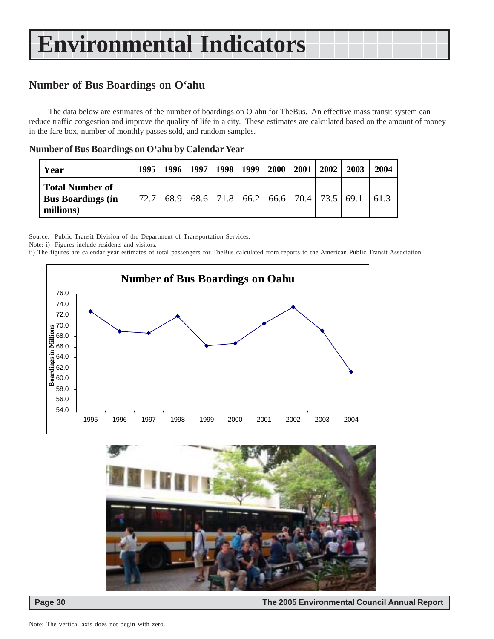### **Number of Bus Boardings on O'ahu**

The data below are estimates of the number of boardings on O`ahu for TheBus. An effective mass transit system can reduce traffic congestion and improve the quality of life in a city. These estimates are calculated based on the amount of money in the fare box, number of monthly passes sold, and random samples.

| Year                                                            | 1995 | $1996$   1997 | 1998   1999 | <b>2000</b> | 2001 | 2002 | 2003                                                    | 2004 |
|-----------------------------------------------------------------|------|---------------|-------------|-------------|------|------|---------------------------------------------------------|------|
| <b>Total Number of</b><br><b>Bus Boardings (in</b><br>millions) | 72.7 | 68.9          |             |             |      |      | $68.6$   71.8   66.2   66.6   70.4   73.5   69.1   61.3 |      |

#### **Number of Bus Boardings on O'ahu by Calendar Year**

Source: Public Transit Division of the Department of Transportation Services.

Note: i) Figures include residents and visitors.

ii) The figures are calendar year estimates of total passengers for TheBus calculated from reports to the American Public Transit Association.





 **Page 30 The 2005 Environmental Council Annual Report**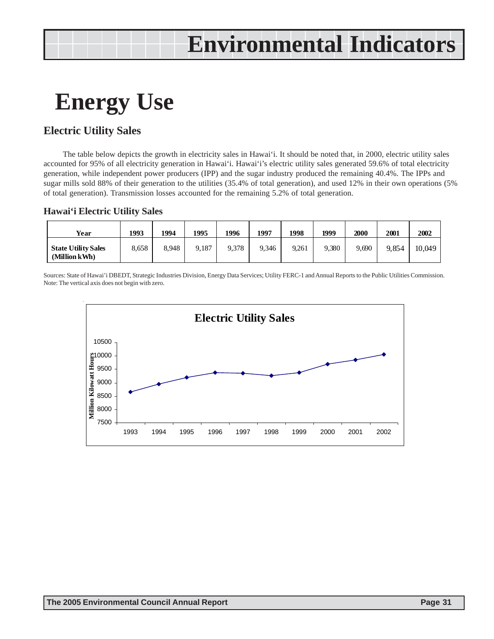### **Energy Use**

### **Electric Utility Sales**

The table below depicts the growth in electricity sales in Hawai'i. It should be noted that, in 2000, electric utility sales accounted for 95% of all electricity generation in Hawai'i. Hawai'i's electric utility sales generated 59.6% of total electricity generation, while independent power producers (IPP) and the sugar industry produced the remaining 40.4%. The IPPs and sugar mills sold 88% of their generation to the utilities (35.4% of total generation), and used 12% in their own operations (5% of total generation). Transmission losses accounted for the remaining 5.2% of total generation.

#### **Hawai'i Electric Utility Sales**

| Year                                        | 1993  | 1994  | 1995  | 1996  | 1997  | 1998  | 1999  | 2000  | 2001  | 2002   |
|---------------------------------------------|-------|-------|-------|-------|-------|-------|-------|-------|-------|--------|
| <b>State Utility Sales</b><br>(Million kWh) | 8,658 | 8.948 | 9,187 | 9.378 | 9,346 | 9,261 | 9,380 | 9.690 | 9.854 | 10,049 |

Sources: State of Hawai'i DBEDT, Strategic Industries Division, Energy Data Services; Utility FERC-1 and Annual Reports to the Public Utilities Commission. Note: The vertical axis does not begin with zero.

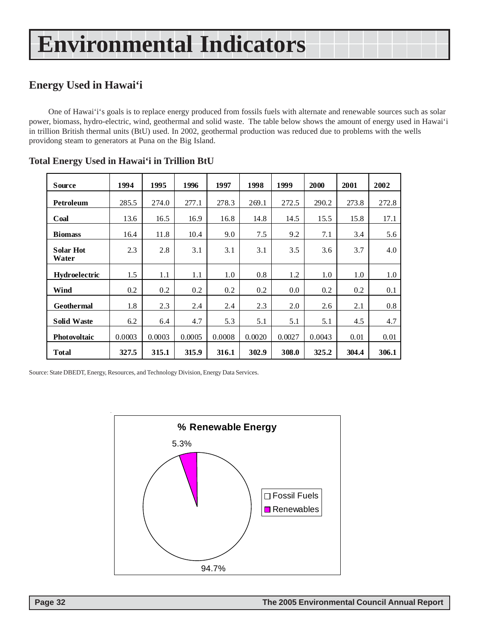### **Energy Used in Hawai'i**

One of Hawai'i's goals is to replace energy produced from fossils fuels with alternate and renewable sources such as solar power, biomass, hydro-electric, wind, geothermal and solid waste. The table below shows the amount of energy used in Hawai'i in trillion British thermal units (BtU) used. In 2002, geothermal production was reduced due to problems with the wells providong steam to generators at Puna on the Big Island.

| <b>Source</b>             | 1994   | 1995   | 1996    | 1997   | 1998   | 1999   | <b>2000</b> | 2001  | 2002  |
|---------------------------|--------|--------|---------|--------|--------|--------|-------------|-------|-------|
| Petroleum                 | 285.5  | 274.0  | 277.1   | 278.3  | 269.1  | 272.5  | 290.2       | 273.8 | 272.8 |
| Coal                      | 13.6   | 16.5   | 16.9    | 16.8   | 14.8   | 14.5   | 15.5        | 15.8  | 17.1  |
| <b>Biomass</b>            | 16.4   | 11.8   | 10.4    | 9.0    | 7.5    | 9.2    | 7.1         | 3.4   | 5.6   |
| <b>Solar Hot</b><br>Water | 2.3    | 2.8    | 3.1     | 3.1    | 3.1    | 3.5    | 3.6         | 3.7   | 4.0   |
| Hydroelectric             | 1.5    | 1.1    | $1.1\,$ | 1.0    | 0.8    | 1.2    | 1.0         | 1.0   | 1.0   |
| Wind                      | 0.2    | 0.2    | 0.2     | 0.2    | 0.2    | 0.0    | 0.2         | 0.2   | 0.1   |
| <b>Geothermal</b>         | 1.8    | 2.3    | 2.4     | 2.4    | 2.3    | 2.0    | 2.6         | 2.1   | 0.8   |
| <b>Solid Waste</b>        | 6.2    | 6.4    | 4.7     | 5.3    | 5.1    | 5.1    | 5.1         | 4.5   | 4.7   |
| <b>Photovoltaic</b>       | 0.0003 | 0.0003 | 0.0005  | 0.0008 | 0.0020 | 0.0027 | 0.0043      | 0.01  | 0.01  |
| <b>Total</b>              | 327.5  | 315.1  | 315.9   | 316.1  | 302.9  | 308.0  | 325.2       | 304.4 | 306.1 |

#### **Total Energy Used in Hawai'i in Trillion BtU**

Source: State DBEDT, Energy, Resources, and Technology Division, Energy Data Services.

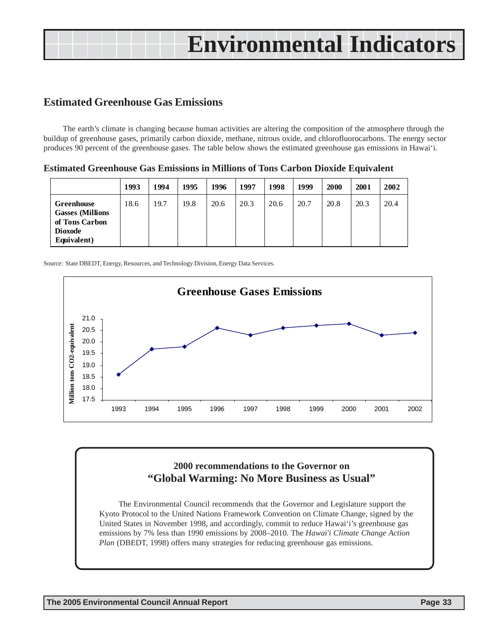### **Estimated Greenhouse Gas Emissions**

The earth's climate is changing because human activities are altering the composition of the atmosphere through the buildup of greenhouse gases, primarily carbon dioxide, methane, nitrous oxide, and chlorofluorocarbons. The energy sector produces 90 percent of the greenhouse gases. The table below shows the estimated greenhouse gas emissions in Hawai'i.

**Estimated Greenhouse Gas Emissions in Millions of Tons Carbon Dioxide Equivalent**

|                                                                                                 | 1993 | 1994 | 1995 | 1996 | 1997 | 1998 | 1999 | 2000 | 2001 | 2002 |
|-------------------------------------------------------------------------------------------------|------|------|------|------|------|------|------|------|------|------|
| <b>Greenhouse</b><br><b>Gasses (Millions</b><br>of Tons Carbon<br><b>Dioxode</b><br>Equivalent) | 18.6 | 19.7 | 19.8 | 20.6 | 20.3 | 20.6 | 20.7 | 20.8 | 20.3 | 20.4 |

Source: State DBEDT, Energy, Resources, and Technology Division, Energy Data Services.



### **2000 recommendations to the Governor on "Global Warming: No More Business as Usual"**

The Environmental Council recommends that the Governor and Legislature support the Kyoto Protocol to the United Nations Framework Convention on Climate Change, signed by the United States in November 1998, and accordingly, commit to reduce Hawai'i's greenhouse gas emissions by 7% less than 1990 emissions by 2008–2010. The *Hawai'i Climate Change Action Plan* (DBEDT, 1998) offers many strategies for reducing greenhouse gas emissions.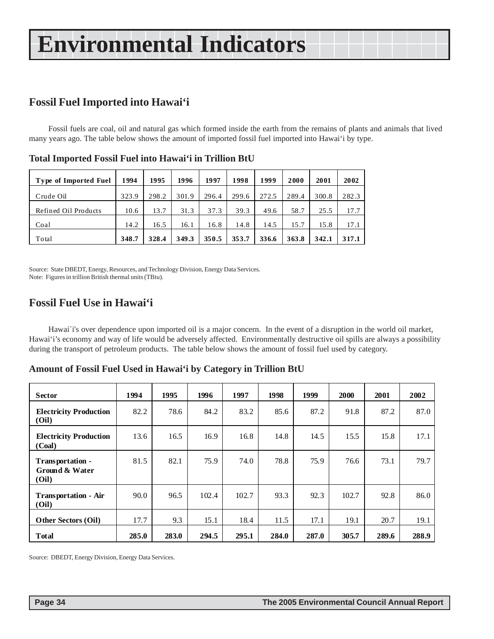### **Fossil Fuel Imported into Hawai'i**

Fossil fuels are coal, oil and natural gas which formed inside the earth from the remains of plants and animals that lived many years ago. The table below shows the amount of imported fossil fuel imported into Hawai'i by type.

| <b>Type of Imported Fuel</b> | 1994  | 1995  | 1996  | 1997  | 1998  | 1999  | 2000  | 2001  | 2002  |
|------------------------------|-------|-------|-------|-------|-------|-------|-------|-------|-------|
| Crude Oil                    | 323.9 | 298.2 | 301.9 | 296.4 | 299.6 | 272.5 | 289.4 | 300.8 | 282.3 |
| Refined Oil Products         | 10.6  | 13.7  | 31.3  | 37.3  | 39.3  | 49.6  | 58.7  | 25.5  | 17.7  |
| Coal                         | 14.2  | 16.5  | 16.1  | 16.8  | 14.8  | 14.5  | 15.7  | 15.8  | 17.1  |
| Total                        | 348.7 | 328.4 | 349.3 | 350.5 | 353.7 | 336.6 | 363.8 | 342.1 | 317.1 |

**Total Imported Fossil Fuel into Hawai'i in Trillion BtU**

Source: State DBEDT, Energy, Resources, and Technology Division, Energy Data Services. Note: Figures in trillion British thermal units (TBtu).

### **Fossil Fuel Use in Hawai'i**

Hawai`i's over dependence upon imported oil is a major concern. In the event of a disruption in the world oil market, Hawai'i's economy and way of life would be adversely affected. Environmentally destructive oil spills are always a possibility during the transport of petroleum products. The table below shows the amount of fossil fuel used by category.

|                                             |       |       | ັ     | o     |       |       |       |       |       |
|---------------------------------------------|-------|-------|-------|-------|-------|-------|-------|-------|-------|
| <b>Sector</b>                               | 1994  | 1995  | 1996  | 1997  | 1998  | 1999  | 2000  | 2001  | 2002  |
| <b>Electricity Production</b><br>(Oil)      | 82.2  | 78.6  | 84.2  | 83.2  | 85.6  | 87.2  | 91.8  | 87.2  | 87.0  |
| <b>Electricity Production</b><br>(Coal)     | 13.6  | 16.5  | 16.9  | 16.8  | 14.8  | 14.5  | 15.5  | 15.8  | 17.1  |
| Transportation -<br>Ground & Water<br>(Oil) | 81.5  | 82.1  | 75.9  | 74.0  | 78.8  | 75.9  | 76.6  | 73.1  | 79.7  |
| <b>Transportation - Air</b><br>(Oil)        | 90.0  | 96.5  | 102.4 | 102.7 | 93.3  | 92.3  | 102.7 | 92.8  | 86.0  |
| <b>Other Sectors (Oil)</b>                  | 17.7  | 9.3   | 15.1  | 18.4  | 11.5  | 17.1  | 19.1  | 20.7  | 19.1  |
| <b>Total</b>                                | 285.0 | 283.0 | 294.5 | 295.1 | 284.0 | 287.0 | 305.7 | 289.6 | 288.9 |

**Amount of Fossil Fuel Used in Hawai'i by Category in Trillion BtU**

Source: DBEDT, Energy Division, Energy Data Services.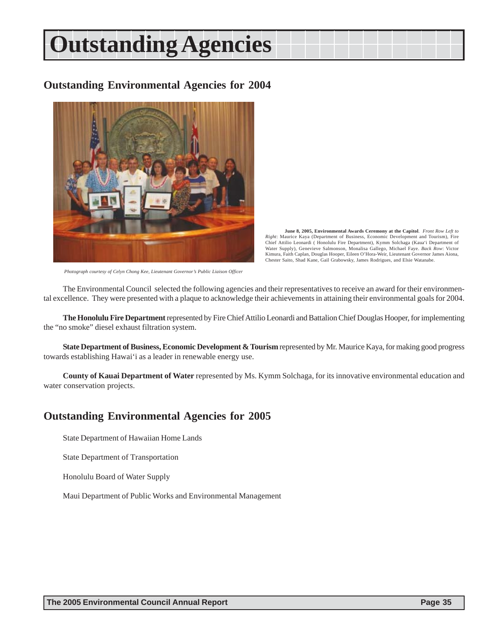# **Outstanding Agencies**

### **Outstanding Environmental Agencies for 2004**



**June 8, 2005, Environmental Awards Ceremony at the Capitol**. *Front Row Left to Right*: Maurice Kaya (Department of Business, Economic Development and Tourism), Fire Chief Attilio Leonardi ( Honolulu Fire Department), Kymm Solchaga (Kaua'i Department of Water Supply), Genevieve Salmonson, Monalisa Gallego, Michael Faye. *Back Row*: Victor Kimura, Faith Caplan, Douglas Hooper, Eileen O'Hora-Weir, Lieutenant Governor James Aiona, Chester Saito, Shad Kane, Gail Grabowsky, James Rodrigues, and Elsie Watanabe.

*Photograph courtesy of Celyn Chong Kee, Lieutenant Governor's Public Liaison Officer*

The Environmental Council selected the following agencies and their representatives to receive an award for their environmental excellence. They were presented with a plaque to acknowledge their achievements in attaining their environmental goals for 2004.

**The Honolulu Fire Department** represented by Fire Chief Attilio Leonardi and Battalion Chief Douglas Hooper, for implementing the "no smoke" diesel exhaust filtration system.

**State Department of Business, Economic Development & Tourism represented by Mr. Maurice Kaya, for making good progress** towards establishing Hawai'i as a leader in renewable energy use.

**County of Kauai Department of Water** represented by Ms. Kymm Solchaga, for its innovative environmental education and water conservation projects.

### **Outstanding Environmental Agencies for 2005**

State Department of Hawaiian Home Lands

State Department of Transportation

Honolulu Board of Water Supply

Maui Department of Public Works and Environmental Management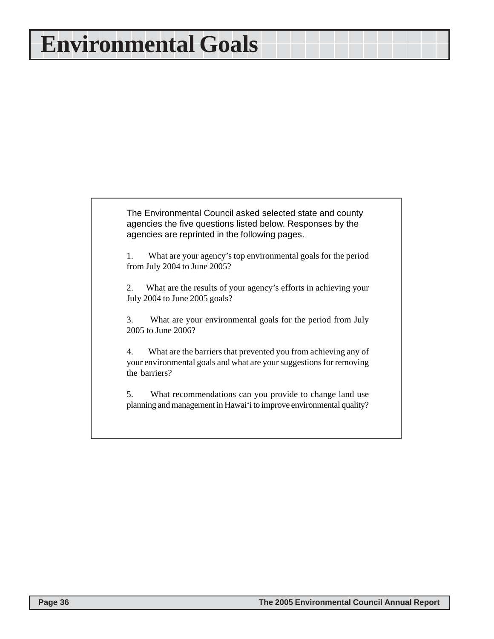### **Environmental Goals**

The Environmental Council asked selected state and county agencies the five questions listed below. Responses by the agencies are reprinted in the following pages.

1. What are your agency's top environmental goals for the period from July 2004 to June 2005?

2. What are the results of your agency's efforts in achieving your July 2004 to June 2005 goals?

3. What are your environmental goals for the period from July 2005 to June 2006?

4. What are the barriers that prevented you from achieving any of your environmental goals and what are your suggestions for removing the barriers?

5. What recommendations can you provide to change land use planning and management in Hawai'i to improve environmental quality?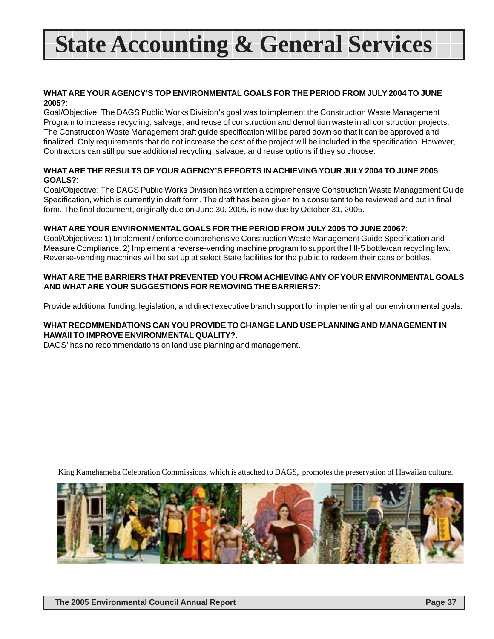# **State Accounting & General Services**

#### **WHAT ARE YOUR AGENCY'S TOP ENVIRONMENTAL GOALS FOR THE PERIOD FROM JULY 2004 TO JUNE 2005?**:

Goal/Objective: The DAGS Public Works Division's goal was to implement the Construction Waste Management Program to increase recycling, salvage, and reuse of construction and demolition waste in all construction projects. The Construction Waste Management draft guide specification will be pared down so that it can be approved and finalized. Only requirements that do not increase the cost of the project will be included in the specification. However, Contractors can still pursue additional recycling, salvage, and reuse options if they so choose.

#### **WHAT ARE THE RESULTS OF YOUR AGENCY'S EFFORTS IN ACHIEVING YOUR JULY 2004 TO JUNE 2005 GOALS?**:

Goal/Objective: The DAGS Public Works Division has written a comprehensive Construction Waste Management Guide Specification, which is currently in draft form. The draft has been given to a consultant to be reviewed and put in final form. The final document, originally due on June 30, 2005, is now due by October 31, 2005.

#### **WHAT ARE YOUR ENVIRONMENTAL GOALS FOR THE PERIOD FROM JULY 2005 TO JUNE 2006?**:

Goal/Objectives: 1) Implement / enforce comprehensive Construction Waste Management Guide Specification and Measure Compliance. 2) Implement a reverse-vending machine program to support the HI-5 bottle/can recycling law. Reverse-vending machines will be set up at select State facilities for the public to redeem their cans or bottles.

#### **WHAT ARE THE BARRIERS THAT PREVENTED YOU FROM ACHIEVING ANY OF YOUR ENVIRONMENTAL GOALS AND WHAT ARE YOUR SUGGESTIONS FOR REMOVING THE BARRIERS?**:

Provide additional funding, legislation, and direct executive branch support for implementing all our environmental goals.

#### **WHAT RECOMMENDATIONS CAN YOU PROVIDE TO CHANGE LAND USE PLANNING AND MANAGEMENT IN HAWAII TO IMPROVE ENVIRONMENTAL QUALITY?**:

DAGS' has no recommendations on land use planning and management.

King Kamehameha Celebration Commissions, which is attached to DAGS, promotes the preservation of Hawaiian culture.

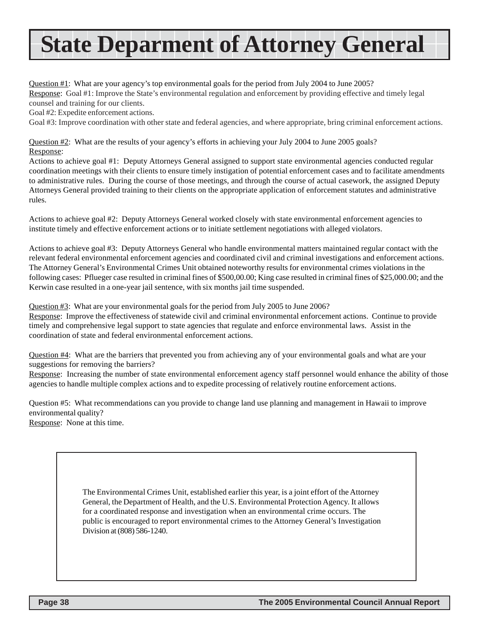# **State Deparment of Attorney General**

Question #1: What are your agency's top environmental goals for the period from July 2004 to June 2005? Response: Goal #1: Improve the State's environmental regulation and enforcement by providing effective and timely legal counsel and training for our clients.

Goal #2: Expedite enforcement actions.

Goal #3: Improve coordination with other state and federal agencies, and where appropriate, bring criminal enforcement actions.

Question #2: What are the results of your agency's efforts in achieving your July 2004 to June 2005 goals? Response:

Actions to achieve goal #1: Deputy Attorneys General assigned to support state environmental agencies conducted regular coordination meetings with their clients to ensure timely instigation of potential enforcement cases and to facilitate amendments to administrative rules. During the course of those meetings, and through the course of actual casework, the assigned Deputy Attorneys General provided training to their clients on the appropriate application of enforcement statutes and administrative rules.

Actions to achieve goal #2: Deputy Attorneys General worked closely with state environmental enforcement agencies to institute timely and effective enforcement actions or to initiate settlement negotiations with alleged violators.

Actions to achieve goal #3: Deputy Attorneys General who handle environmental matters maintained regular contact with the relevant federal environmental enforcement agencies and coordinated civil and criminal investigations and enforcement actions. The Attorney General's Environmental Crimes Unit obtained noteworthy results for environmental crimes violations in the following cases: Pflueger case resulted in criminal fines of \$500,00.00; King case resulted in criminal fines of \$25,000.00; and the Kerwin case resulted in a one-year jail sentence, with six months jail time suspended.

Question #3: What are your environmental goals for the period from July 2005 to June 2006?

Response: Improve the effectiveness of statewide civil and criminal environmental enforcement actions. Continue to provide timely and comprehensive legal support to state agencies that regulate and enforce environmental laws. Assist in the coordination of state and federal environmental enforcement actions.

Question #4: What are the barriers that prevented you from achieving any of your environmental goals and what are your suggestions for removing the barriers?

Response: Increasing the number of state environmental enforcement agency staff personnel would enhance the ability of those agencies to handle multiple complex actions and to expedite processing of relatively routine enforcement actions.

Question #5: What recommendations can you provide to change land use planning and management in Hawaii to improve environmental quality? Response: None at this time.

> The Environmental Crimes Unit, established earlier this year, is a joint effort of the Attorney General, the Department of Health, and the U.S. Environmental Protection Agency. It allows for a coordinated response and investigation when an environmental crime occurs. The public is encouraged to report environmental crimes to the Attorney General's Investigation Division at (808) 586-1240.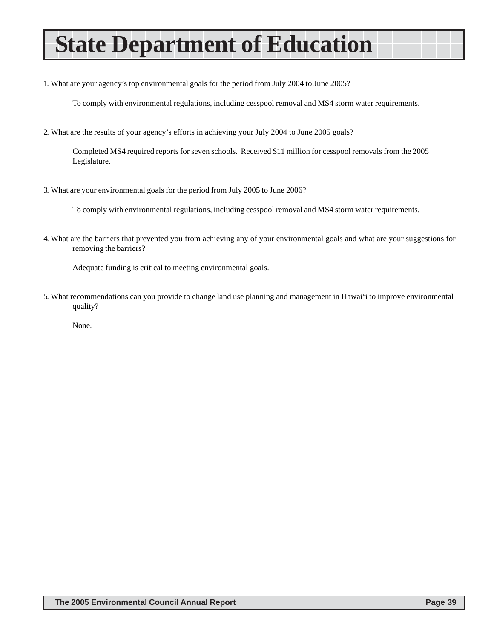# **State Department of Education**

1. What are your agency's top environmental goals for the period from July 2004 to June 2005?

To comply with environmental regulations, including cesspool removal and MS4 storm water requirements.

2. What are the results of your agency's efforts in achieving your July 2004 to June 2005 goals?

Completed MS4 required reports for seven schools. Received \$11 million for cesspool removals from the 2005 Legislature.

3. What are your environmental goals for the period from July 2005 to June 2006?

To comply with environmental regulations, including cesspool removal and MS4 storm water requirements.

4. What are the barriers that prevented you from achieving any of your environmental goals and what are your suggestions for removing the barriers?

Adequate funding is critical to meeting environmental goals.

5. What recommendations can you provide to change land use planning and management in Hawai'i to improve environmental quality?

None.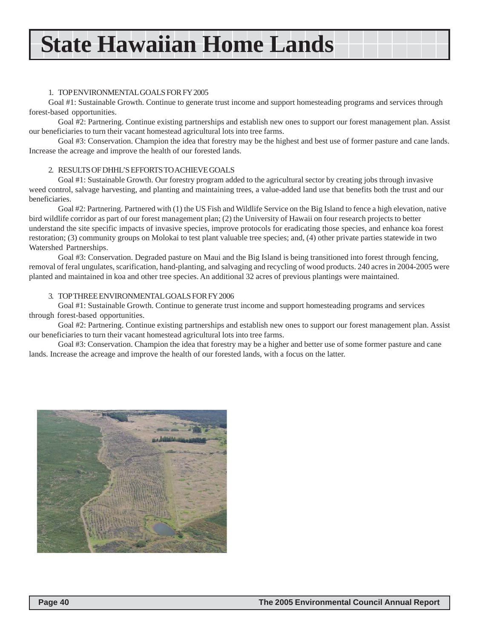### **State Hawaiian Home Lands**

#### 1. TOP ENVIRONMENTAL GOALS FOR FY 2005

Goal #1: Sustainable Growth. Continue to generate trust income and support homesteading programs and services through forest-based opportunities.

Goal #2: Partnering. Continue existing partnerships and establish new ones to support our forest management plan. Assist our beneficiaries to turn their vacant homestead agricultural lots into tree farms.

Goal #3: Conservation. Champion the idea that forestry may be the highest and best use of former pasture and cane lands. Increase the acreage and improve the health of our forested lands.

#### 2. RESULTS OF DHHL'S EFFORTS TO ACHIEVE GOALS

Goal #1: Sustainable Growth. Our forestry program added to the agricultural sector by creating jobs through invasive weed control, salvage harvesting, and planting and maintaining trees, a value-added land use that benefits both the trust and our beneficiaries.

Goal #2: Partnering. Partnered with (1) the US Fish and Wildlife Service on the Big Island to fence a high elevation, native bird wildlife corridor as part of our forest management plan; (2) the University of Hawaii on four research projects to better understand the site specific impacts of invasive species, improve protocols for eradicating those species, and enhance koa forest restoration; (3) community groups on Molokai to test plant valuable tree species; and, (4) other private parties statewide in two Watershed Partnerships.

Goal #3: Conservation. Degraded pasture on Maui and the Big Island is being transitioned into forest through fencing, removal of feral ungulates, scarification, hand-planting, and salvaging and recycling of wood products. 240 acres in 2004-2005 were planted and maintained in koa and other tree species. An additional 32 acres of previous plantings were maintained.

#### 3. TOP THREE ENVIRONMENTAL GOALS FOR FY 2006

Goal #1: Sustainable Growth. Continue to generate trust income and support homesteading programs and services through forest-based opportunities.

Goal #2: Partnering. Continue existing partnerships and establish new ones to support our forest management plan. Assist our beneficiaries to turn their vacant homestead agricultural lots into tree farms.

Goal #3: Conservation. Champion the idea that forestry may be a higher and better use of some former pasture and cane lands. Increase the acreage and improve the health of our forested lands, with a focus on the latter.

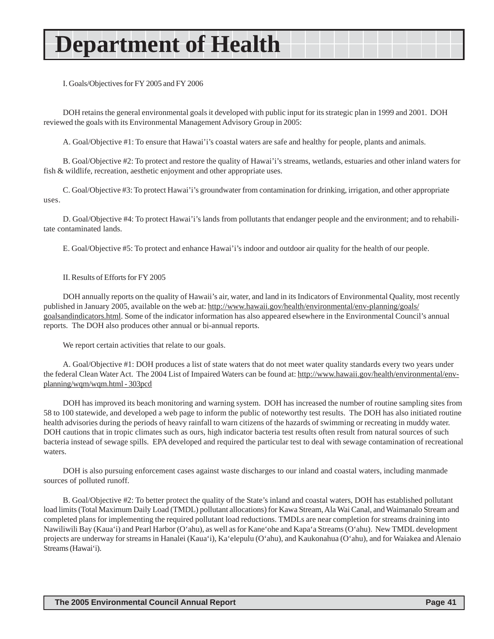# **Department of Health**

I. Goals/Objectives for FY 2005 and FY 2006

DOH retains the general environmental goals it developed with public input for its strategic plan in 1999 and 2001. DOH reviewed the goals with its Environmental Management Advisory Group in 2005:

A. Goal/Objective #1: To ensure that Hawai'i's coastal waters are safe and healthy for people, plants and animals.

B. Goal/Objective #2: To protect and restore the quality of Hawai'i's streams, wetlands, estuaries and other inland waters for fish & wildlife, recreation, aesthetic enjoyment and other appropriate uses.

C. Goal/Objective #3: To protect Hawai'i's groundwater from contamination for drinking, irrigation, and other appropriate uses.

D. Goal/Objective #4: To protect Hawai'i's lands from pollutants that endanger people and the environment; and to rehabilitate contaminated lands.

E. Goal/Objective #5: To protect and enhance Hawai'i's indoor and outdoor air quality for the health of our people.

#### II. Results of Efforts for FY 2005

DOH annually reports on the quality of Hawaii's air, water, and land in its Indicators of Environmental Quality, most recently published in January 2005, available on the web at: http://www.hawaii.gov/health/environmental/env-planning/goals/ goalsandindicators.html. Some of the indicator information has also appeared elsewhere in the Environmental Council's annual reports. The DOH also produces other annual or bi-annual reports.

We report certain activities that relate to our goals.

A. Goal/Objective #1: DOH produces a list of state waters that do not meet water quality standards every two years under the federal Clean Water Act. The 2004 List of Impaired Waters can be found at: http://www.hawaii.gov/health/environmental/envplanning/wqm/wqm.html - 303pcd

DOH has improved its beach monitoring and warning system. DOH has increased the number of routine sampling sites from 58 to 100 statewide, and developed a web page to inform the public of noteworthy test results. The DOH has also initiated routine health advisories during the periods of heavy rainfall to warn citizens of the hazards of swimming or recreating in muddy water. DOH cautions that in tropic climates such as ours, high indicator bacteria test results often result from natural sources of such bacteria instead of sewage spills. EPA developed and required the particular test to deal with sewage contamination of recreational waters.

DOH is also pursuing enforcement cases against waste discharges to our inland and coastal waters, including manmade sources of polluted runoff.

B. Goal/Objective #2: To better protect the quality of the State's inland and coastal waters, DOH has established pollutant load limits (Total Maximum Daily Load (TMDL) pollutant allocations) for Kawa Stream, Ala Wai Canal, and Waimanalo Stream and completed plans for implementing the required pollutant load reductions. TMDLs are near completion for streams draining into Nawiliwili Bay (Kaua'i) and Pearl Harbor (O'ahu), as well as for Kane'ohe and Kapa'a Streams (O'ahu). New TMDL development projects are underway for streams in Hanalei (Kaua'i), Ka'elepulu (O'ahu), and Kaukonahua (O'ahu), and for Waiakea and Alenaio Streams (Hawai'i).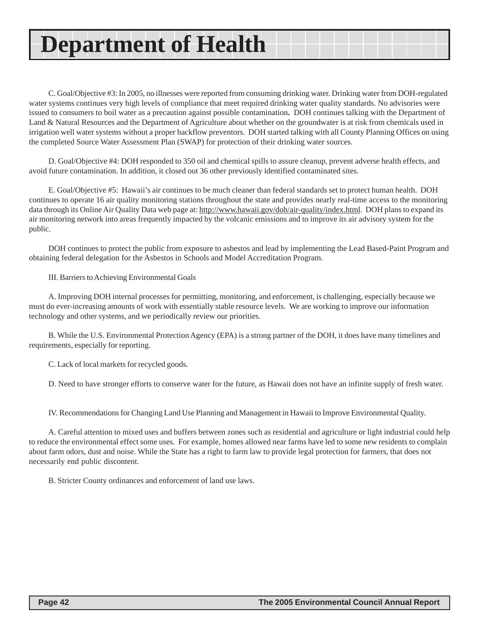### **Department of Health**

C. Goal/Objective #3: In 2005, no illnesses were reported from consuming drinking water. Drinking water from DOH-regulated water systems continues very high levels of compliance that meet required drinking water quality standards. No advisories were issued to consumers to boil water as a precaution against possible contamination**.** DOH continues talking with the Department of Land & Natural Resources and the Department of Agriculture about whether on the groundwater is at risk from chemicals used in irrigation well water systems without a proper backflow preventors. DOH started talking with all County Planning Offices on using the completed Source Water Assessment Plan (SWAP) for protection of their drinking water sources.

D. Goal/Objective #4: DOH responded to 350 oil and chemical spills to assure cleanup, prevent adverse health effects, and avoid future contamination. In addition, it closed out 36 other previously identified contaminated sites.

E. Goal/Objective #5: Hawaii's air continues to be much cleaner than federal standards set to protect human health. DOH continues to operate 16 air quality monitoring stations throughout the state and provides nearly real-time access to the monitoring data through its Online Air Quality Data web page at: http://www.hawaii.gov/doh/air-quality/index.html. DOH plans to expand its air monitoring network into areas frequently impacted by the volcanic emissions and to improve its air advisory system for the public.

DOH continues to protect the public from exposure to asbestos and lead by implementing the Lead Based-Paint Program and obtaining federal delegation for the Asbestos in Schools and Model Accreditation Program.

III. Barriers to Achieving Environmental Goals

A. Improving DOH internal processes for permitting, monitoring, and enforcement, is challenging, especially because we must do ever-increasing amounts of work with essentially stable resource levels. We are working to improve our information technology and other systems, and we periodically review our priorities.

B. While the U.S. Environmental Protection Agency (EPA) is a strong partner of the DOH, it does have many timelines and requirements, especially for reporting.

C. Lack of local markets for recycled goods.

D. Need to have stronger efforts to conserve water for the future, as Hawaii does not have an infinite supply of fresh water.

IV. Recommendations for Changing Land Use Planning and Management in Hawaii to Improve Environmental Quality.

A. Careful attention to mixed uses and buffers between zones such as residential and agriculture or light industrial could help to reduce the environmental effect some uses. For example, homes allowed near farms have led to some new residents to complain about farm odors, dust and noise. While the State has a right to farm law to provide legal protection for farmers, that does not necessarily end public discontent.

B. Stricter County ordinances and enforcement of land use laws.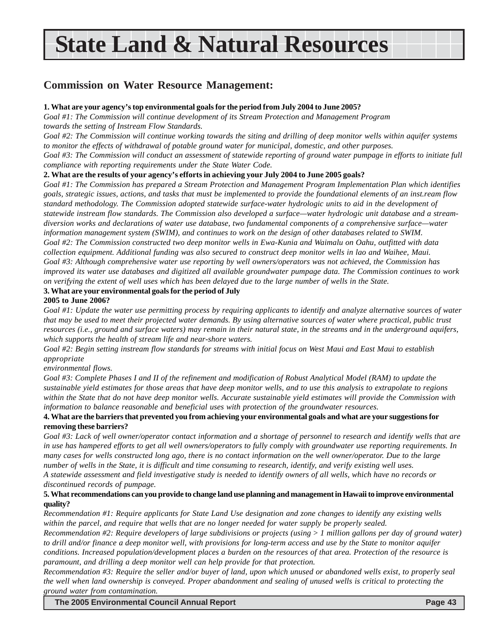# **State Land & Natural Resources**

### **Commission on Water Resource Management:**

#### **1. What are your agency's top environmental goals for the period from July 2004 to June 2005?**

*Goal #1: The Commission will continue development of its Stream Protection and Management Program towards the setting of Instream Flow Standards.*

*Goal #2: The Commission will continue working towards the siting and drilling of deep monitor wells within aquifer systems to monitor the effects of withdrawal of potable ground water for municipal, domestic, and other purposes.*

*Goal #3: The Commission will conduct an assessment of statewide reporting of ground water pumpage in efforts to initiate full compliance with reporting requirements under the State Water Code.*

#### **2. What are the results of your agency's efforts in achieving your July 2004 to June 2005 goals?**

*Goal #1: The Commission has prepared a Stream Protection and Management Program Implementation Plan which identifies goals, strategic issues, actions, and tasks that must be implemented to provide the foundational elements of an inst.ream flow standard methodology. The Commission adopted statewide surface-water hydrologic units to aid in the development of statewide instream flow standards. The Commission also developed a surface—water hydrologic unit database and a streamdiversion works and declarations of water use database, two fundamental components of a comprehensive surface—water information management system (SWIM), and continues to work on the design of other databases related to SWIM. Goal #2: The Commission constructed two deep monitor wells in Ewa-Kunia and Waimalu on Oahu, outfitted with data collection equipment. Additional funding was also secured to construct deep monitor wells in lao and Waihee, Maui. Goal #3: Although comprehensive water use reporting by well owners/operators was not achieved, the Commission has improved its water use databases and digitized all available groundwater pumpage data. The Commission continues to work on verifying the extent of well uses which has been delayed due to the large number of wells in the State.*

#### **3. What are your environmental goals for the period of July**

#### **2005 to June 2006?**

*Goal #1: Update the water use permitting process by requiring applicants to identify and analyze alternative sources of water that may be used to meet their projected water demands. By using alternative sources of water where practical, public trust resources (i.e., ground and surface waters) may remain in their natural state, in the streams and in the underground aquifers, which supports the health of stream life and near-shore waters.*

*Goal #2: Begin setting instream flow standards for streams with initial focus on West Maui and East Maui to establish appropriate*

#### *environmental flows.*

*Goal #3: Complete Phases I and II of the refinement and modification of Robust Analytical Model (RAM) to update the sustainable yield estimates for those areas that have deep monitor wells, and to use this analysis to extrapolate to regions within the State that do not have deep monitor wells. Accurate sustainable yield estimates will provide the Commission with information to balance reasonable and beneficial uses with protection of the groundwater resources.*

#### **4. What are the barriers that prevented you from achieving your environmental goals and what are your suggestions for removing these barriers?**

*Goal #3: Lack of well owner/operator contact information and a shortage of personnel to research and identify wells that are in use has hampered efforts to get all well owners/operators to fully comply with groundwater use reporting requirements. In many cases for wells constructed long ago, there is no contact information on the well owner/operator. Due to the large number of wells in the State, it is difficult and time consuming to research, identify, and verify existing well uses. A statewide assessment and field investigative study is needed to identify owners of all wells, which have no records or discontinued records of pumpage.*

#### **5. What recommendations can you provide to change land use planning and management in Hawaii to improve environmental quality?**

*Recommendation #1: Require applicants for State Land Use designation and zone changes to identify any existing wells within the parcel, and require that wells that are no longer needed for water supply be properly sealed.*

*Recommendation #2: Require developers of large subdivisions or projects (using > 1 million gallons per day of ground water) to drill and/or finance a deep monitor well, with provisions for long-term access and use by the State to monitor aquifer conditions. Increased population/development places a burden on the resources of that area. Protection of the resource is paramount, and drilling a deep monitor well can help provide for that protection.*

*Recommendation #3: Require the seller and/or buyer of land, upon which unused or abandoned wells exist, to properly seal the well when land ownership is conveyed. Proper abandonment and sealing of unused wells is critical to protecting the ground water from contamination.*

**The 2005 Environmental Council Annual Report Page 43**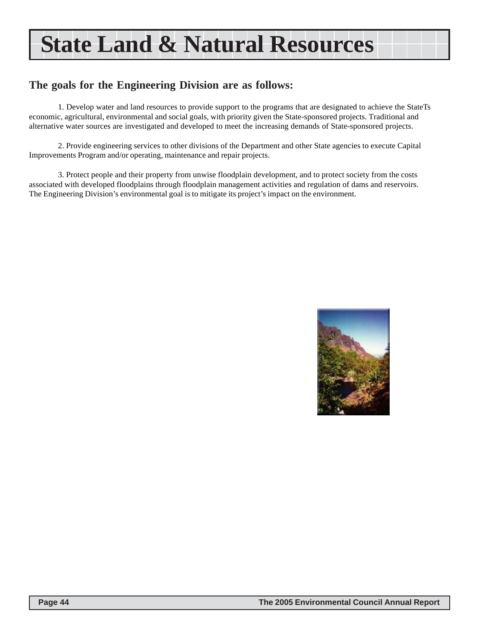# **State Land & Natural Resources**

### **The goals for the Engineering Division are as follows:**

1. Develop water and land resources to provide support to the programs that are designated to achieve the StateTs economic, agricultural, environmental and social goals, with priority given the State-sponsored projects. Traditional and alternative water sources are investigated and developed to meet the increasing demands of State-sponsored projects.

2. Provide engineering services to other divisions of the Department and other State agencies to execute Capital Improvements Program and/or operating, maintenance and repair projects.

3. Protect people and their property from unwise floodplain development, and to protect society from the costs associated with developed floodplains through floodplain management activities and regulation of dams and reservoirs. The Engineering Division's environmental goal is to mitigate its project's impact on the environment.

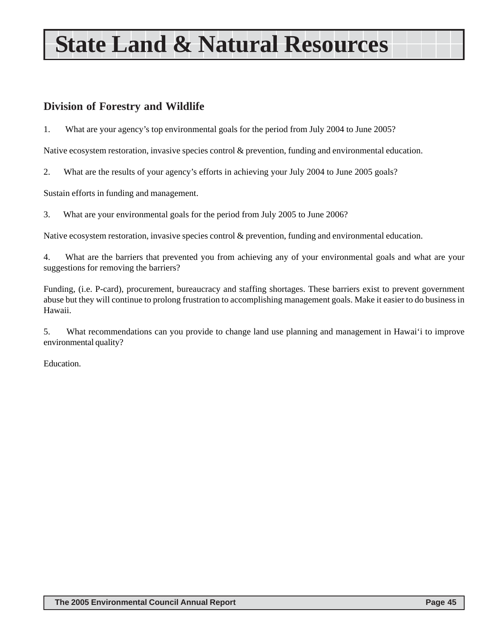# **State Land & Natural Resources**

### **Division of Forestry and Wildlife**

1. What are your agency's top environmental goals for the period from July 2004 to June 2005?

Native ecosystem restoration, invasive species control & prevention, funding and environmental education.

2. What are the results of your agency's efforts in achieving your July 2004 to June 2005 goals?

Sustain efforts in funding and management.

3. What are your environmental goals for the period from July 2005 to June 2006?

Native ecosystem restoration, invasive species control & prevention, funding and environmental education.

4. What are the barriers that prevented you from achieving any of your environmental goals and what are your suggestions for removing the barriers?

Funding, (i.e. P-card), procurement, bureaucracy and staffing shortages. These barriers exist to prevent government abuse but they will continue to prolong frustration to accomplishing management goals. Make it easier to do business in Hawaii.

5. What recommendations can you provide to change land use planning and management in Hawai'i to improve environmental quality?

Education.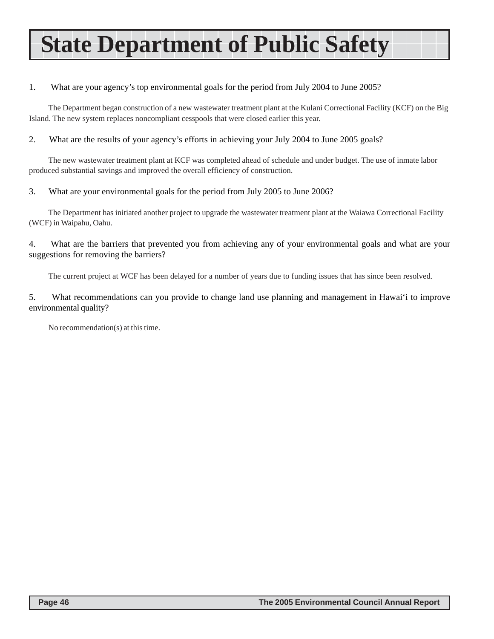# **State Department of Public Safety**

#### 1. What are your agency's top environmental goals for the period from July 2004 to June 2005?

The Department began construction of a new wastewater treatment plant at the Kulani Correctional Facility (KCF) on the Big Island. The new system replaces noncompliant cesspools that were closed earlier this year.

2. What are the results of your agency's efforts in achieving your July 2004 to June 2005 goals?

The new wastewater treatment plant at KCF was completed ahead of schedule and under budget. The use of inmate labor produced substantial savings and improved the overall efficiency of construction.

#### 3. What are your environmental goals for the period from July 2005 to June 2006?

The Department has initiated another project to upgrade the wastewater treatment plant at the Waiawa Correctional Facility (WCF) in Waipahu, Oahu.

4. What are the barriers that prevented you from achieving any of your environmental goals and what are your suggestions for removing the barriers?

The current project at WCF has been delayed for a number of years due to funding issues that has since been resolved.

5. What recommendations can you provide to change land use planning and management in Hawai'i to improve environmental quality?

No recommendation(s) at this time.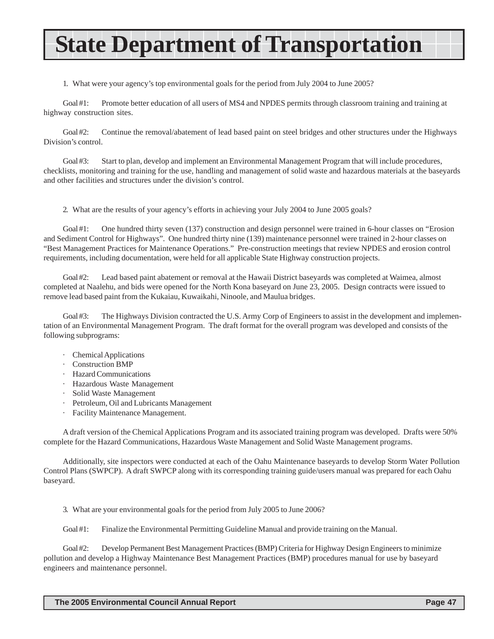# **State Department of Transportation**

1. What were your agency's top environmental goals for the period from July 2004 to June 2005?

Goal #1: Promote better education of all users of MS4 and NPDES permits through classroom training and training at highway construction sites.

Goal #2: Continue the removal/abatement of lead based paint on steel bridges and other structures under the Highways Division's control.

Goal #3: Start to plan, develop and implement an Environmental Management Program that will include procedures, checklists, monitoring and training for the use, handling and management of solid waste and hazardous materials at the baseyards and other facilities and structures under the division's control.

2. What are the results of your agency's efforts in achieving your July 2004 to June 2005 goals?

Goal #1: One hundred thirty seven (137) construction and design personnel were trained in 6-hour classes on "Erosion" and Sediment Control for Highways". One hundred thirty nine (139) maintenance personnel were trained in 2-hour classes on "Best Management Practices for Maintenance Operations." Pre-construction meetings that review NPDES and erosion control requirements, including documentation, were held for all applicable State Highway construction projects.

Goal #2: Lead based paint abatement or removal at the Hawaii District baseyards was completed at Waimea, almost completed at Naalehu, and bids were opened for the North Kona baseyard on June 23, 2005. Design contracts were issued to remove lead based paint from the Kukaiau, Kuwaikahi, Ninoole, and Maulua bridges.

Goal #3: The Highways Division contracted the U.S. Army Corp of Engineers to assist in the development and implementation of an Environmental Management Program. The draft format for the overall program was developed and consists of the following subprograms:

- · Chemical Applications
- · Construction BMP
- · Hazard Communications
- · Hazardous Waste Management
- · Solid Waste Management
- · Petroleum, Oil and Lubricants Management
- Facility Maintenance Management.

A draft version of the Chemical Applications Program and its associated training program was developed. Drafts were 50% complete for the Hazard Communications, Hazardous Waste Management and Solid Waste Management programs.

Additionally, site inspectors were conducted at each of the Oahu Maintenance baseyards to develop Storm Water Pollution Control Plans (SWPCP). A draft SWPCP along with its corresponding training guide/users manual was prepared for each Oahu baseyard.

3. What are your environmental goals for the period from July 2005 to June 2006?

Goal #1: Finalize the Environmental Permitting Guideline Manual and provide training on the Manual.

Goal #2: Develop Permanent Best Management Practices (BMP) Criteria for Highway Design Engineers to minimize pollution and develop a Highway Maintenance Best Management Practices (BMP) procedures manual for use by baseyard engineers and maintenance personnel.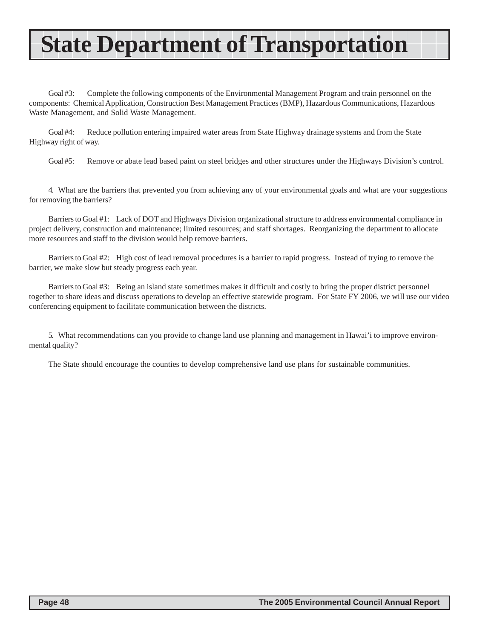# **State Department of Transportation**

Goal #3: Complete the following components of the Environmental Management Program and train personnel on the components: Chemical Application, Construction Best Management Practices (BMP), Hazardous Communications, Hazardous Waste Management, and Solid Waste Management.

Goal #4: Reduce pollution entering impaired water areas from State Highway drainage systems and from the State Highway right of way.

Goal #5: Remove or abate lead based paint on steel bridges and other structures under the Highways Division's control.

4. What are the barriers that prevented you from achieving any of your environmental goals and what are your suggestions for removing the barriers?

Barriers to Goal #1: Lack of DOT and Highways Division organizational structure to address environmental compliance in project delivery, construction and maintenance; limited resources; and staff shortages. Reorganizing the department to allocate more resources and staff to the division would help remove barriers.

Barriers to Goal #2: High cost of lead removal procedures is a barrier to rapid progress. Instead of trying to remove the barrier, we make slow but steady progress each year.

Barriers to Goal #3: Being an island state sometimes makes it difficult and costly to bring the proper district personnel together to share ideas and discuss operations to develop an effective statewide program. For State FY 2006, we will use our video conferencing equipment to facilitate communication between the districts.

5. What recommendations can you provide to change land use planning and management in Hawai'i to improve environmental quality?

The State should encourage the counties to develop comprehensive land use plans for sustainable communities.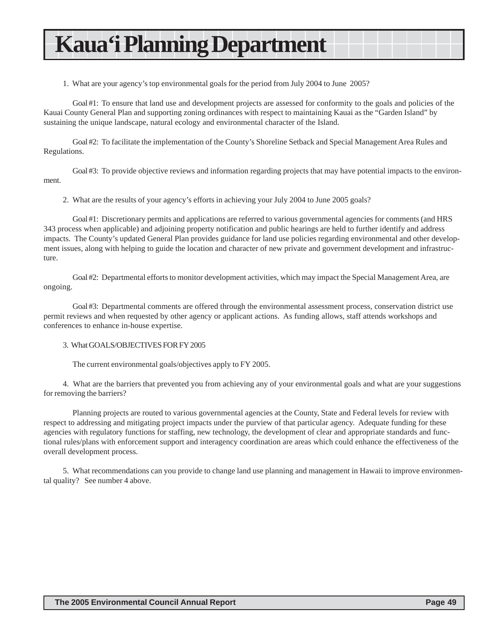### **Kaua'i Planning Department**

1. What are your agency's top environmental goals for the period from July 2004 to June 2005?

Goal #1: To ensure that land use and development projects are assessed for conformity to the goals and policies of the Kauai County General Plan and supporting zoning ordinances with respect to maintaining Kauai as the "Garden Island" by sustaining the unique landscape, natural ecology and environmental character of the Island.

Goal #2: To facilitate the implementation of the County's Shoreline Setback and Special Management Area Rules and Regulations.

Goal #3: To provide objective reviews and information regarding projects that may have potential impacts to the environment.

2. What are the results of your agency's efforts in achieving your July 2004 to June 2005 goals?

Goal #1: Discretionary permits and applications are referred to various governmental agencies for comments (and HRS 343 process when applicable) and adjoining property notification and public hearings are held to further identify and address impacts. The County's updated General Plan provides guidance for land use policies regarding environmental and other development issues, along with helping to guide the location and character of new private and government development and infrastructure.

Goal #2: Departmental efforts to monitor development activities, which may impact the Special Management Area, are ongoing.

Goal #3: Departmental comments are offered through the environmental assessment process, conservation district use permit reviews and when requested by other agency or applicant actions. As funding allows, staff attends workshops and conferences to enhance in-house expertise.

#### 3. What GOALS/OBJECTIVES FOR FY 2005

The current environmental goals/objectives apply to FY 2005.

4. What are the barriers that prevented you from achieving any of your environmental goals and what are your suggestions for removing the barriers?

Planning projects are routed to various governmental agencies at the County, State and Federal levels for review with respect to addressing and mitigating project impacts under the purview of that particular agency. Adequate funding for these agencies with regulatory functions for staffing, new technology, the development of clear and appropriate standards and functional rules/plans with enforcement support and interagency coordination are areas which could enhance the effectiveness of the overall development process.

5. What recommendations can you provide to change land use planning and management in Hawaii to improve environmental quality? See number 4 above.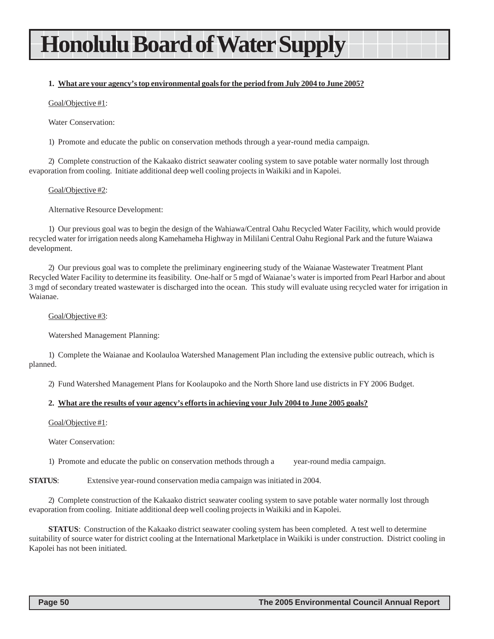### **Honolulu Board of Water Supply**

#### **1. What are your agency's top environmental goals for the period from July 2004 to June 2005?**

Goal/Objective #1:

Water Conservation:

1) Promote and educate the public on conservation methods through a year-round media campaign.

2) Complete construction of the Kakaako district seawater cooling system to save potable water normally lost through evaporation from cooling. Initiate additional deep well cooling projects in Waikiki and in Kapolei.

Goal/Objective #2:

Alternative Resource Development:

1) Our previous goal was to begin the design of the Wahiawa/Central Oahu Recycled Water Facility, which would provide recycled water for irrigation needs along Kamehameha Highway in Mililani Central Oahu Regional Park and the future Waiawa development.

2) Our previous goal was to complete the preliminary engineering study of the Waianae Wastewater Treatment Plant Recycled Water Facility to determine its feasibility. One-half or 5 mgd of Waianae's water is imported from Pearl Harbor and about 3 mgd of secondary treated wastewater is discharged into the ocean. This study will evaluate using recycled water for irrigation in Waianae.

Goal/Objective #3:

Watershed Management Planning:

1) Complete the Waianae and Koolauloa Watershed Management Plan including the extensive public outreach, which is planned.

2) Fund Watershed Management Plans for Koolaupoko and the North Shore land use districts in FY 2006 Budget.

#### **2. What are the results of your agency's efforts in achieving your July 2004 to June 2005 goals?**

Goal/Objective #1:

Water Conservation:

1) Promote and educate the public on conservation methods through a year-round media campaign.

**STATUS:** Extensive year-round conservation media campaign was initiated in 2004.

2) Complete construction of the Kakaako district seawater cooling system to save potable water normally lost through evaporation from cooling. Initiate additional deep well cooling projects in Waikiki and in Kapolei.

**STATUS**: Construction of the Kakaako district seawater cooling system has been completed. A test well to determine suitability of source water for district cooling at the International Marketplace in Waikiki is under construction. District cooling in Kapolei has not been initiated.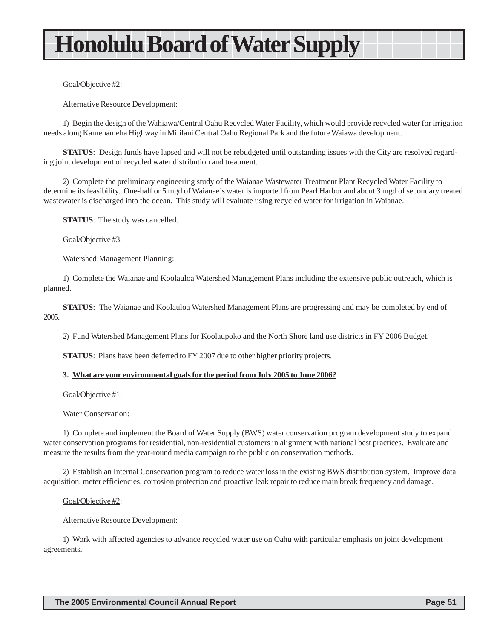# **Honolulu Board of Water Supply**

#### Goal/Objective #2:

Alternative Resource Development:

1) Begin the design of the Wahiawa/Central Oahu Recycled Water Facility, which would provide recycled water for irrigation needs along Kamehameha Highway in Mililani Central Oahu Regional Park and the future Waiawa development.

**STATUS**: Design funds have lapsed and will not be rebudgeted until outstanding issues with the City are resolved regarding joint development of recycled water distribution and treatment.

2) Complete the preliminary engineering study of the Waianae Wastewater Treatment Plant Recycled Water Facility to determine its feasibility. One-half or 5 mgd of Waianae's water is imported from Pearl Harbor and about 3 mgd of secondary treated wastewater is discharged into the ocean. This study will evaluate using recycled water for irrigation in Waianae.

**STATUS**: The study was cancelled.

#### Goal/Objective #3:

Watershed Management Planning:

1) Complete the Waianae and Koolauloa Watershed Management Plans including the extensive public outreach, which is planned.

**STATUS**: The Waianae and Koolauloa Watershed Management Plans are progressing and may be completed by end of 2005.

2) Fund Watershed Management Plans for Koolaupoko and the North Shore land use districts in FY 2006 Budget.

**STATUS**: Plans have been deferred to FY 2007 due to other higher priority projects.

#### **3. What are your environmental goals for the period from July 2005 to June 2006?**

Goal/Objective #1:

Water Conservation:

1) Complete and implement the Board of Water Supply (BWS) water conservation program development study to expand water conservation programs for residential, non-residential customers in alignment with national best practices. Evaluate and measure the results from the year-round media campaign to the public on conservation methods.

2) Establish an Internal Conservation program to reduce water loss in the existing BWS distribution system. Improve data acquisition, meter efficiencies, corrosion protection and proactive leak repair to reduce main break frequency and damage.

#### Goal/Objective #2:

Alternative Resource Development:

1) Work with affected agencies to advance recycled water use on Oahu with particular emphasis on joint development agreements.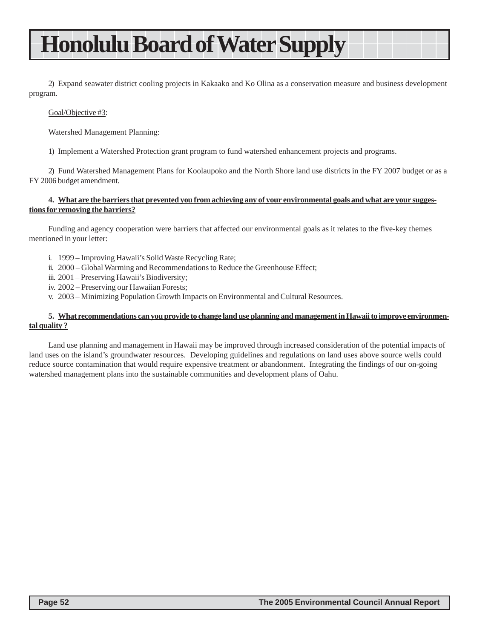### **Honolulu Board of Water Supply**

2) Expand seawater district cooling projects in Kakaako and Ko Olina as a conservation measure and business development program.

#### Goal/Objective #3:

Watershed Management Planning:

1) Implement a Watershed Protection grant program to fund watershed enhancement projects and programs.

2) Fund Watershed Management Plans for Koolaupoko and the North Shore land use districts in the FY 2007 budget or as a FY 2006 budget amendment.

#### **4. What are the barriers that prevented you from achieving any of your environmental goals and what are your suggestions for removing the barriers?**

Funding and agency cooperation were barriers that affected our environmental goals as it relates to the five-key themes mentioned in your letter:

- i. 1999 Improving Hawaii's Solid Waste Recycling Rate;
- ii. 2000 Global Warming and Recommendations to Reduce the Greenhouse Effect;
- iii. 2001 Preserving Hawaii's Biodiversity;
- iv. 2002 Preserving our Hawaiian Forests;
- v. 2003 Minimizing Population Growth Impacts on Environmental and Cultural Resources.

#### **5. What recommendations can you provide to change land use planning and management in Hawaii to improve environmental quality ?**

Land use planning and management in Hawaii may be improved through increased consideration of the potential impacts of land uses on the island's groundwater resources. Developing guidelines and regulations on land uses above source wells could reduce source contamination that would require expensive treatment or abandonment. Integrating the findings of our on-going watershed management plans into the sustainable communities and development plans of Oahu.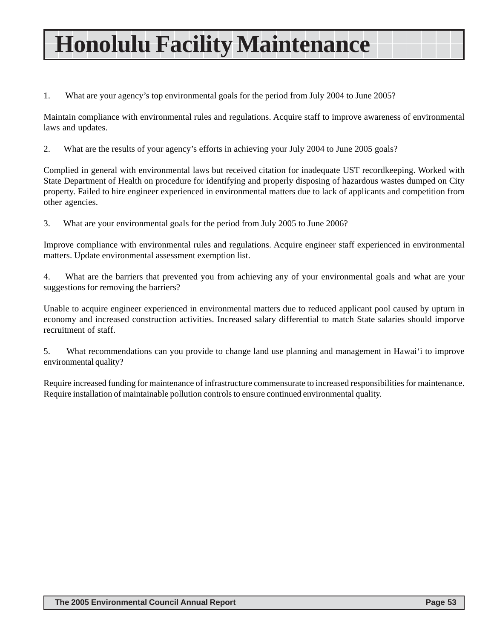# **Honolulu Facility Maintenance**

1. What are your agency's top environmental goals for the period from July 2004 to June 2005?

Maintain compliance with environmental rules and regulations. Acquire staff to improve awareness of environmental laws and updates.

2. What are the results of your agency's efforts in achieving your July 2004 to June 2005 goals?

Complied in general with environmental laws but received citation for inadequate UST recordkeeping. Worked with State Department of Health on procedure for identifying and properly disposing of hazardous wastes dumped on City property. Failed to hire engineer experienced in environmental matters due to lack of applicants and competition from other agencies.

3. What are your environmental goals for the period from July 2005 to June 2006?

Improve compliance with environmental rules and regulations. Acquire engineer staff experienced in environmental matters. Update environmental assessment exemption list.

4. What are the barriers that prevented you from achieving any of your environmental goals and what are your suggestions for removing the barriers?

Unable to acquire engineer experienced in environmental matters due to reduced applicant pool caused by upturn in economy and increased construction activities. Increased salary differential to match State salaries should imporve recruitment of staff.

5. What recommendations can you provide to change land use planning and management in Hawai'i to improve environmental quality?

Require increased funding for maintenance of infrastructure commensurate to increased responsibilities for maintenance. Require installation of maintainable pollution controls to ensure continued environmental quality.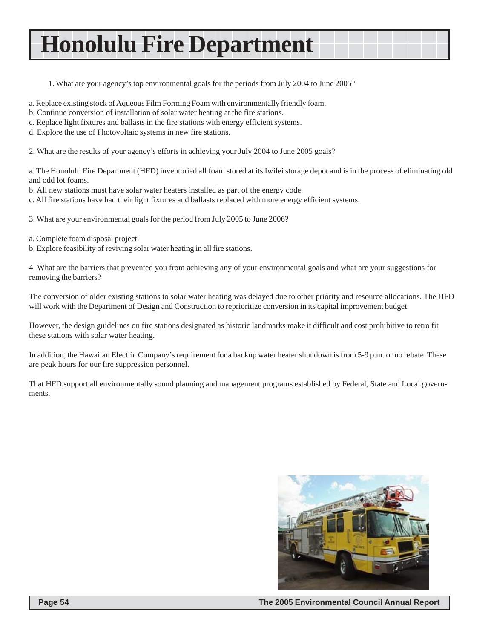## **Honolulu Fire Department**

1. What are your agency's top environmental goals for the periods from July 2004 to June 2005?

- a. Replace existing stock of Aqueous Film Forming Foam with environmentally friendly foam.
- b. Continue conversion of installation of solar water heating at the fire stations.
- c. Replace light fixtures and ballasts in the fire stations with energy efficient systems.
- d. Explore the use of Photovoltaic systems in new fire stations.

2. What are the results of your agency's efforts in achieving your July 2004 to June 2005 goals?

a. The Honolulu Fire Department (HFD) inventoried all foam stored at its Iwilei storage depot and is in the process of eliminating old and odd lot foams.

b. All new stations must have solar water heaters installed as part of the energy code.

c. All fire stations have had their light fixtures and ballasts replaced with more energy efficient systems.

3. What are your environmental goals for the period from July 2005 to June 2006?

- a. Complete foam disposal project.
- b. Explore feasibility of reviving solar water heating in all fire stations.

4. What are the barriers that prevented you from achieving any of your environmental goals and what are your suggestions for removing the barriers?

The conversion of older existing stations to solar water heating was delayed due to other priority and resource allocations. The HFD will work with the Department of Design and Construction to reprioritize conversion in its capital improvement budget.

However, the design guidelines on fire stations designated as historic landmarks make it difficult and cost prohibitive to retro fit these stations with solar water heating.

In addition, the Hawaiian Electric Company's requirement for a backup water heater shut down is from 5-9 p.m. or no rebate. These are peak hours for our fire suppression personnel.

That HFD support all environmentally sound planning and management programs established by Federal, State and Local governments.

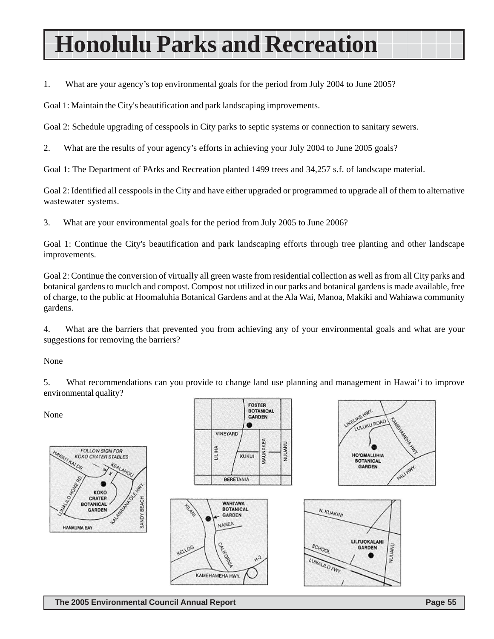# **Honolulu Parks and Recreation**

1. What are your agency's top environmental goals for the period from July 2004 to June 2005?

Goal 1: Maintain the City's beautification and park landscaping improvements.

Goal 2: Schedule upgrading of cesspools in City parks to septic systems or connection to sanitary sewers.

2. What are the results of your agency's efforts in achieving your July 2004 to June 2005 goals?

Goal 1: The Department of PArks and Recreation planted 1499 trees and 34,257 s.f. of landscape material.

Goal 2: Identified all cesspools in the City and have either upgraded or programmed to upgrade all of them to alternative wastewater systems.

3. What are your environmental goals for the period from July 2005 to June 2006?

Goal 1: Continue the City's beautification and park landscaping efforts through tree planting and other landscape improvements.

Goal 2: Continue the conversion of virtually all green waste from residential collection as well as from all City parks and botanical gardens to muclch and compost. Compost not utilized in our parks and botanical gardens is made available, free of charge, to the public at Hoomaluhia Botanical Gardens and at the Ala Wai, Manoa, Makiki and Wahiawa community gardens.

4. What are the barriers that prevented you from achieving any of your environmental goals and what are your suggestions for removing the barriers?

None

5. What recommendations can you provide to change land use planning and management in Hawai'i to improve environmental quality?

**FOSTER** 

**BOTANICAL** 

None







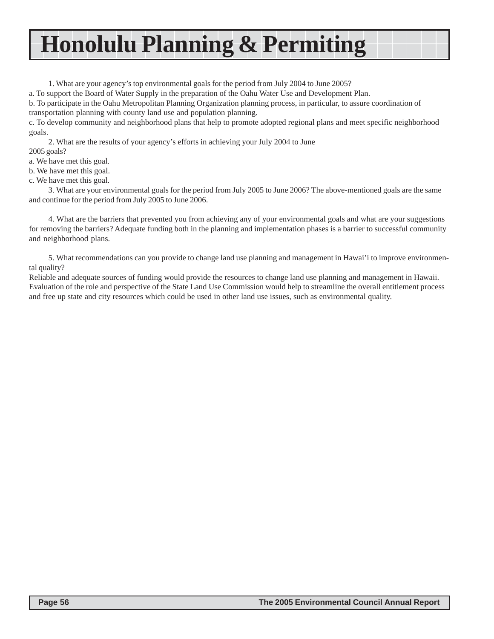# **Honolulu Planning & Permiting**

1. What are your agency's top environmental goals for the period from July 2004 to June 2005?

a. To support the Board of Water Supply in the preparation of the Oahu Water Use and Development Plan.

b. To participate in the Oahu Metropolitan Planning Organization planning process, in particular, to assure coordination of transportation planning with county land use and population planning.

c. To develop community and neighborhood plans that help to promote adopted regional plans and meet specific neighborhood goals.

2. What are the results of your agency's efforts in achieving your July 2004 to June 2005 goals?

a. We have met this goal.

b. We have met this goal.

c. We have met this goal.

3. What are your environmental goals for the period from July 2005 to June 2006? The above-mentioned goals are the same and continue for the period from July 2005 to June 2006.

4. What are the barriers that prevented you from achieving any of your environmental goals and what are your suggestions for removing the barriers? Adequate funding both in the planning and implementation phases is a barrier to successful community and neighborhood plans.

5. What recommendations can you provide to change land use planning and management in Hawai'i to improve environmental quality?

Reliable and adequate sources of funding would provide the resources to change land use planning and management in Hawaii. Evaluation of the role and perspective of the State Land Use Commission would help to streamline the overall entitlement process and free up state and city resources which could be used in other land use issues, such as environmental quality.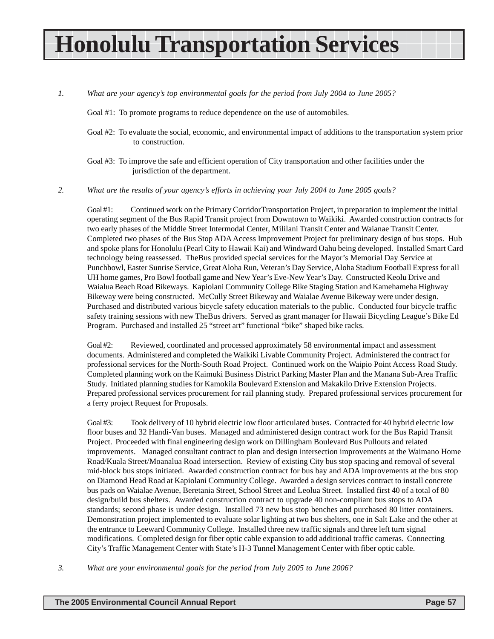# **Honolulu Transportation Services**

*1. What are your agency's top environmental goals for the period from July 2004 to June 2005?*

Goal #1: To promote programs to reduce dependence on the use of automobiles.

- Goal #2: To evaluate the social, economic, and environmental impact of additions to the transportation system prior to construction.
- Goal #3: To improve the safe and efficient operation of City transportation and other facilities under the jurisdiction of the department.

*2. What are the results of your agency's efforts in achieving your July 2004 to June 2005 goals?*

Goal #1: Continued work on the Primary CorridorTransportation Project, in preparation to implement the initial operating segment of the Bus Rapid Transit project from Downtown to Waikiki. Awarded construction contracts for two early phases of the Middle Street Intermodal Center, Mililani Transit Center and Waianae Transit Center. Completed two phases of the Bus Stop ADA Access Improvement Project for preliminary design of bus stops. Hub and spoke plans for Honolulu (Pearl City to Hawaii Kai) and Windward Oahu being developed. Installed Smart Card technology being reassessed. TheBus provided special services for the Mayor's Memorial Day Service at Punchbowl, Easter Sunrise Service, Great Aloha Run, Veteran's Day Service, Aloha Stadium Football Express for all UH home games, Pro Bowl football game and New Year's Eve-New Year's Day. Constructed Keolu Drive and Waialua Beach Road Bikeways. Kapiolani Community College Bike Staging Station and Kamehameha Highway Bikeway were being constructed. McCully Street Bikeway and Waialae Avenue Bikeway were under design. Purchased and distributed various bicycle safety education materials to the public. Conducted four bicycle traffic safety training sessions with new TheBus drivers. Served as grant manager for Hawaii Bicycling League's Bike Ed Program. Purchased and installed 25 "street art" functional "bike" shaped bike racks.

Goal #2: Reviewed, coordinated and processed approximately 58 environmental impact and assessment documents. Administered and completed the Waikiki Livable Community Project. Administered the contract for professional services for the North-South Road Project. Continued work on the Waipio Point Access Road Study. Completed planning work on the Kaimuki Business District Parking Master Plan and the Manana Sub-Area Traffic Study. Initiated planning studies for Kamokila Boulevard Extension and Makakilo Drive Extension Projects. Prepared professional services procurement for rail planning study. Prepared professional services procurement for a ferry project Request for Proposals.

Goal #3: Took delivery of 10 hybrid electric low floor articulated buses. Contracted for 40 hybrid electric low floor buses and 32 Handi-Van buses. Managed and administered design contract work for the Bus Rapid Transit Project. Proceeded with final engineering design work on Dillingham Boulevard Bus Pullouts and related improvements. Managed consultant contract to plan and design intersection improvements at the Waimano Home Road/Kuala Street/Moanalua Road intersection. Review of existing City bus stop spacing and removal of several mid-block bus stops initiated. Awarded construction contract for bus bay and ADA improvements at the bus stop on Diamond Head Road at Kapiolani Community College. Awarded a design services contract to install concrete bus pads on Waialae Avenue, Beretania Street, School Street and Leolua Street. Installed first 40 of a total of 80 design/build bus shelters. Awarded construction contract to upgrade 40 non-compliant bus stops to ADA standards; second phase is under design. Installed 73 new bus stop benches and purchased 80 litter containers. Demonstration project implemented to evaluate solar lighting at two bus shelters, one in Salt Lake and the other at the entrance to Leeward Community College. Installed three new traffic signals and three left turn signal modifications. Completed design for fiber optic cable expansion to add additional traffic cameras. Connecting City's Traffic Management Center with State's H-3 Tunnel Management Center with fiber optic cable.

*3. What are your environmental goals for the period from July 2005 to June 2006?*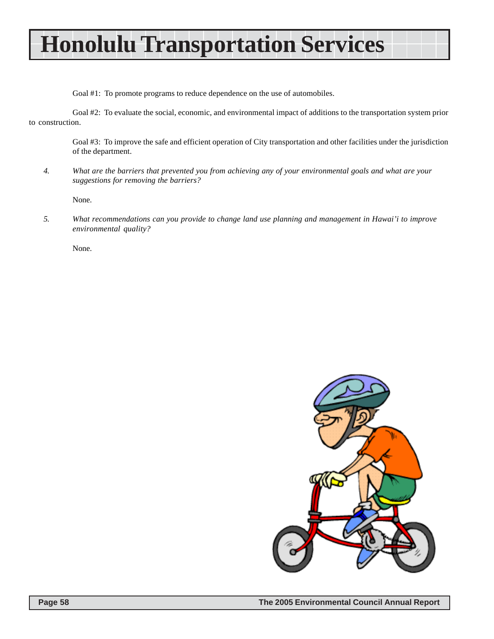# **Honolulu Transportation Services**

Goal #1: To promote programs to reduce dependence on the use of automobiles.

Goal #2: To evaluate the social, economic, and environmental impact of additions to the transportation system prior to construction.

> Goal #3: To improve the safe and efficient operation of City transportation and other facilities under the jurisdiction of the department.

*4. What are the barriers that prevented you from achieving any of your environmental goals and what are your suggestions for removing the barriers?*

None.

*5. What recommendations can you provide to change land use planning and management in Hawai'i to improve environmental quality?*

None.

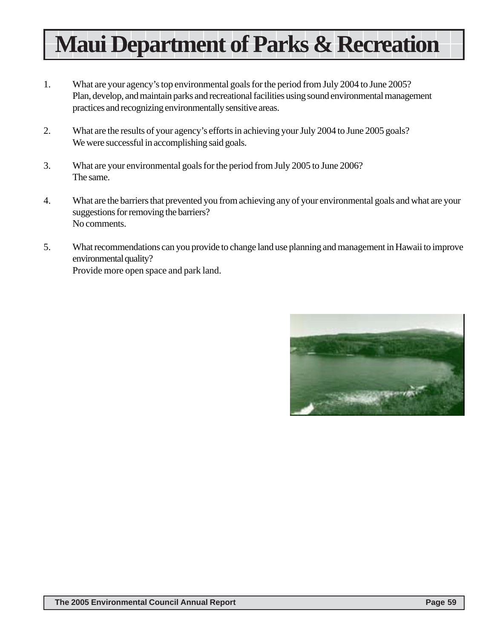# **Maui Department of Parks & Recreation**

- 1. What are your agency's top environmental goals for the period from July 2004 to June 2005? Plan, develop, and maintain parks and recreational facilities using sound environmental management practices and recognizing environmentally sensitive areas.
- 2. What are the results of your agency's efforts in achieving your July 2004 to June 2005 goals? We were successful in accomplishing said goals.
- 3. What are your environmental goals for the period from July 2005 to June 2006? The same.
- 4. What are the barriers that prevented you from achieving any of your environmental goals and what are your suggestions for removing the barriers? No comments.
- 5. What recommendations can you provide to change land use planning and management in Hawaii to improve environmental quality? Provide more open space and park land.

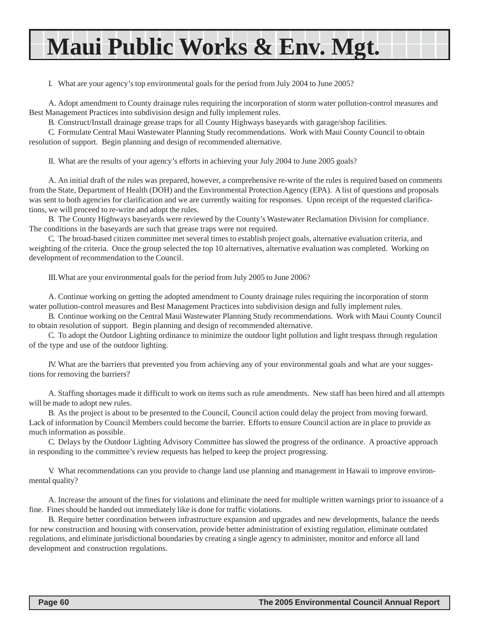# **Maui Public Works & Env. Mgt.**

I. What are your agency's top environmental goals for the period from July 2004 to June 2005?

A. Adopt amendment to County drainage rules requiring the incorporation of storm water pollution-control measures and Best Management Practices into subdivision design and fully implement rules.

B. Construct/Install drainage grease traps for all County Highways baseyards with garage/shop facilities.

C. Formulate Central Maui Wastewater Planning Study recommendations. Work with Maui County Council to obtain resolution of support. Begin planning and design of recommended alternative.

II. What are the results of your agency's efforts in achieving your July 2004 to June 2005 goals?

A. An initial draft of the rules was prepared, however, a comprehensive re-write of the rules is required based on comments from the State, Department of Health (DOH) and the Environmental Protection Agency (EPA). A list of questions and proposals was sent to both agencies for clarification and we are currently waiting for responses. Upon receipt of the requested clarifications, we will proceed to re-write and adopt the rules.

B. The County Highways baseyards were reviewed by the County's Wastewater Reclamation Division for compliance. The conditions in the baseyards are such that grease traps were not required.

C. The broad-based citizen committee met several times to establish project goals, alternative evaluation criteria, and weighting of the criteria. Once the group selected the top 10 alternatives, alternative evaluation was completed. Working on development of recommendation to the Council.

III.What are your environmental goals for the period from July 2005 to June 2006?

A. Continue working on getting the adopted amendment to County drainage rules requiring the incorporation of storm water pollution-control measures and Best Management Practices into subdivision design and fully implement rules.

B. Continue working on the Central Maui Wastewater Planning Study recommendations. Work with Maui County Council to obtain resolution of support. Begin planning and design of recommended alternative.

C. To adopt the Outdoor Lighting ordinance to minimize the outdoor light pollution and light trespass through regulation of the type and use of the outdoor lighting.

IV. What are the barriers that prevented you from achieving any of your environmental goals and what are your suggestions for removing the barriers?

A. Staffing shortages made it difficult to work on items such as rule amendments. New staff has been hired and all attempts will be made to adopt new rules.

B. As the project is about to be presented to the Council, Council action could delay the project from moving forward. Lack of information by Council Members could become the barrier. Efforts to ensure Council action are in place to provide as much information as possible.

C. Delays by the Outdoor Lighting Advisory Committee has slowed the progress of the ordinance. A proactive approach in responding to the committee's review requests has helped to keep the project progressing.

V. What recommendations can you provide to change land use planning and management in Hawaii to improve environmental quality?

A. Increase the amount of the fines for violations and eliminate the need for multiple written warnings prior to issuance of a fine. Fines should be handed out immediately like is done for traffic violations.

B. Require better coordination between infrastructure expansion and upgrades and new developments, balance the needs for new construction and housing with conservation, provide better administration of existing regulation, eliminate outdated regulations, and eliminate jurisdictional boundaries by creating a single agency to administer, monitor and enforce all land development and construction regulations.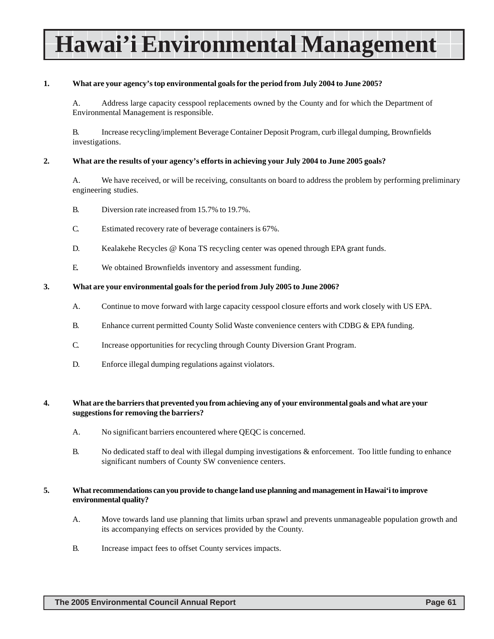# **Hawai'i Environmental Management**

#### **1. What are your agency's top environmental goals for the period from July 2004 to June 2005?**

A. Address large capacity cesspool replacements owned by the County and for which the Department of Environmental Management is responsible.

B. Increase recycling/implement Beverage Container Deposit Program, curb illegal dumping, Brownfields investigations.

#### **2. What are the results of your agency's efforts in achieving your July 2004 to June 2005 goals?**

A. We have received, or will be receiving, consultants on board to address the problem by performing preliminary engineering studies.

- B. Diversion rate increased from 15.7% to 19.7%.
- C. Estimated recovery rate of beverage containers is 67%.
- D. Kealakehe Recycles @ Kona TS recycling center was opened through EPA grant funds.
- E. We obtained Brownfields inventory and assessment funding.

#### **3. What are your environmental goals for the period from July 2005 to June 2006?**

- A. Continue to move forward with large capacity cesspool closure efforts and work closely with US EPA.
- B. Enhance current permitted County Solid Waste convenience centers with CDBG & EPA funding.
- C. Increase opportunities for recycling through County Diversion Grant Program.
- D. Enforce illegal dumping regulations against violators.

#### **4. What are the barriers that prevented you from achieving any of your environmental goals and what are your suggestions for removing the barriers?**

- A. No significant barriers encountered where QEQC is concerned.
- B. No dedicated staff to deal with illegal dumping investigations & enforcement. Too little funding to enhance significant numbers of County SW convenience centers.

#### **5. What recommendations can you provide to change land use planning and management in Hawai'i to improve environmental quality?**

- A. Move towards land use planning that limits urban sprawl and prevents unmanageable population growth and its accompanying effects on services provided by the County.
- B. Increase impact fees to offset County services impacts.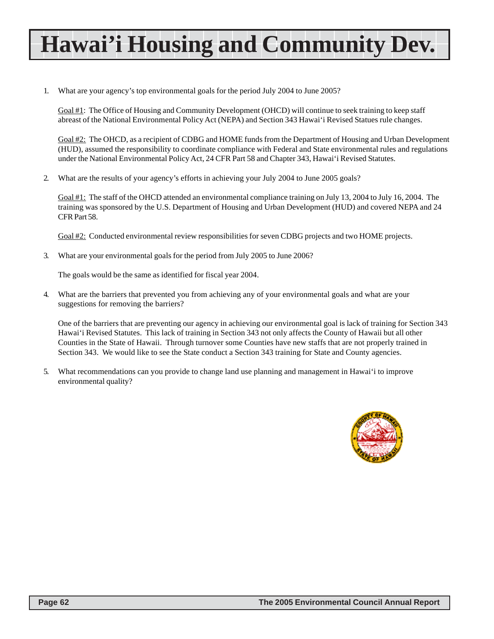# **Hawai'i Housing and Community Dev.**

1. What are your agency's top environmental goals for the period July 2004 to June 2005?

Goal #1: The Office of Housing and Community Development (OHCD) will continue to seek training to keep staff abreast of the National Environmental Policy Act (NEPA) and Section 343 Hawai'i Revised Statues rule changes.

Goal #2: The OHCD, as a recipient of CDBG and HOME funds from the Department of Housing and Urban Development (HUD), assumed the responsibility to coordinate compliance with Federal and State environmental rules and regulations under the National Environmental Policy Act, 24 CFR Part 58 and Chapter 343, Hawai'i Revised Statutes.

2. What are the results of your agency's efforts in achieving your July 2004 to June 2005 goals?

Goal #1: The staff of the OHCD attended an environmental compliance training on July 13, 2004 to July 16, 2004. The training was sponsored by the U.S. Department of Housing and Urban Development (HUD) and covered NEPA and 24 CFR Part 58.

Goal #2: Conducted environmental review responsibilities for seven CDBG projects and two HOME projects.

3. What are your environmental goals for the period from July 2005 to June 2006?

The goals would be the same as identified for fiscal year 2004.

4. What are the barriers that prevented you from achieving any of your environmental goals and what are your suggestions for removing the barriers?

One of the barriers that are preventing our agency in achieving our environmental goal is lack of training for Section 343 Hawai'i Revised Statutes. This lack of training in Section 343 not only affects the County of Hawaii but all other Counties in the State of Hawaii. Through turnover some Counties have new staffs that are not properly trained in Section 343. We would like to see the State conduct a Section 343 training for State and County agencies.

5. What recommendations can you provide to change land use planning and management in Hawai'i to improve environmental quality?

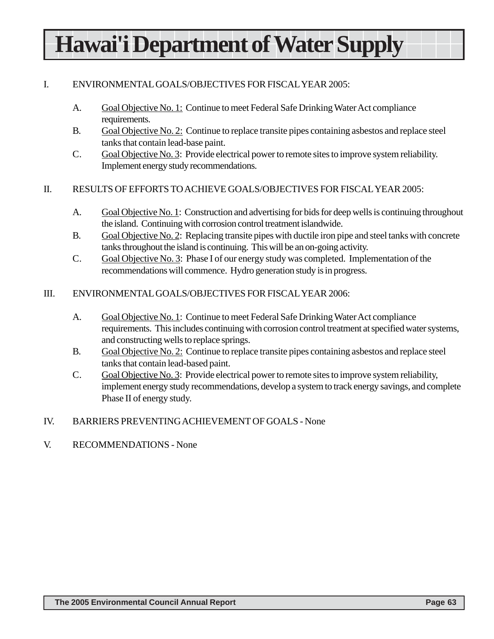# **Hawai'i Department of Water Supply**

### I. ENVIRONMENTAL GOALS/OBJECTIVES FOR FISCAL YEAR 2005:

- A. Goal Objective No. 1: Continue to meet Federal Safe Drinking Water Act compliance requirements.
- B. Goal Objective No. 2: Continue to replace transite pipes containing asbestos and replace steel tanks that contain lead-base paint.
- C. Goal Objective No. 3: Provide electrical power to remote sites to improve system reliability. Implement energy study recommendations.

#### II. RESULTS OF EFFORTS TO ACHIEVE GOALS/OBJECTIVES FOR FISCAL YEAR 2005:

- A. Goal Objective No. 1: Construction and advertising for bids for deep wells is continuing throughout the island. Continuing with corrosion control treatment islandwide.
- B. Goal Objective No. 2: Replacing transite pipes with ductile iron pipe and steel tanks with concrete tanks throughout the island is continuing. This will be an on-going activity.
- C. Goal Objective No. 3: Phase I of our energy study was completed. Implementation of the recommendations will commence. Hydro generation study is in progress.
- III. ENVIRONMENTAL GOALS/OBJECTIVES FOR FISCAL YEAR 2006:
	- A. Goal Objective No. 1: Continue to meet Federal Safe Drinking Water Act compliance requirements. This includes continuing with corrosion control treatment at specified water systems, and constructing wells to replace springs.
	- B. Goal Objective No. 2: Continue to replace transite pipes containing asbestos and replace steel tanks that contain lead-based paint.
	- C. Goal Objective No. 3: Provide electrical power to remote sites to improve system reliability, implement energy study recommendations, develop a system to track energy savings, and complete Phase II of energy study.
- IV. BARRIERS PREVENTING ACHIEVEMENT OF GOALS None
- V. RECOMMENDATIONS None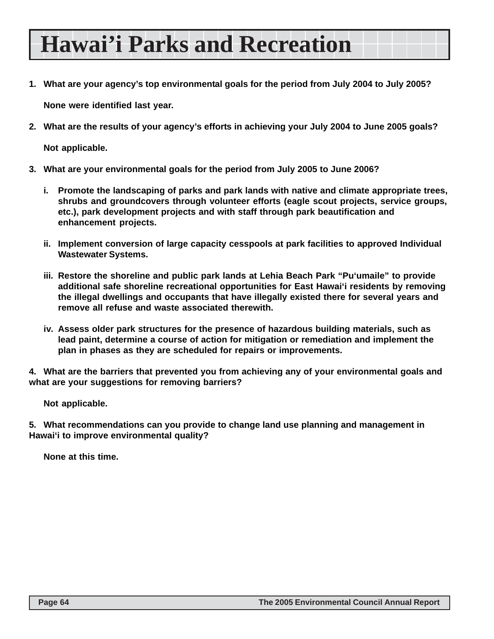### **Hawai'i Parks and Recreation**

**1. What are your agency's top environmental goals for the period from July 2004 to July 2005?**

**None were identified last year.**

**2. What are the results of your agency's efforts in achieving your July 2004 to June 2005 goals?**

**Not applicable.**

- **3. What are your environmental goals for the period from July 2005 to June 2006?**
	- **i. Promote the landscaping of parks and park lands with native and climate appropriate trees, shrubs and groundcovers through volunteer efforts (eagle scout projects, service groups, etc.), park development projects and with staff through park beautification and enhancement projects.**
	- **ii. Implement conversion of large capacity cesspools at park facilities to approved Individual Wastewater Systems.**
	- **iii. Restore the shoreline and public park lands at Lehia Beach Park "Pu'umaile" to provide additional safe shoreline recreational opportunities for East Hawai'i residents by removing the illegal dwellings and occupants that have illegally existed there for several years and remove all refuse and waste associated therewith.**
	- **iv. Assess older park structures for the presence of hazardous building materials, such as lead paint, determine a course of action for mitigation or remediation and implement the plan in phases as they are scheduled for repairs or improvements.**

**4. What are the barriers that prevented you from achieving any of your environmental goals and what are your suggestions for removing barriers?**

**Not applicable.**

**5. What recommendations can you provide to change land use planning and management in Hawai'i to improve environmental quality?**

**None at this time.**